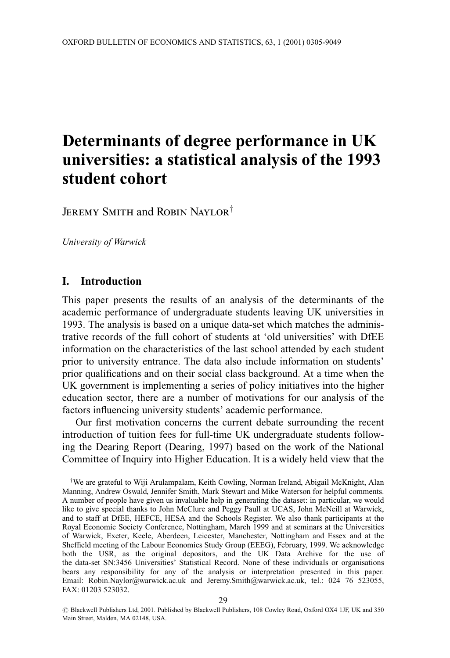# Determinants of degree performance in UK universities: a statistical analysis of the 1993 student cohort

JEREMY SMITH and ROBIN NAYLOR<sup>†</sup>

University of Warwick

# I. Introduction

This paper presents the results of an analysis of the determinants of the academic performance of undergraduate students leaving UK universities in 1993. The analysis is based on a unique data-set which matches the administrative records of the full cohort of students at `old universities' with DfEE information on the characteristics of the last school attended by each student prior to university entrance. The data also include information on students' prior qualifications and on their social class background. At a time when the UK government is implementing a series of policy initiatives into the higher education sector, there are a number of motivations for our analysis of the factors influencing university students' academic performance.

Our first motivation concerns the current debate surrounding the recent introduction of tuition fees for full-time UK undergraduate students following the Dearing Report (Dearing, 1997) based on the work of the National Committee of Inquiry into Higher Education. It is a widely held view that the

†We are grateful to Wiji Arulampalam, Keith Cowling, Norman Ireland, Abigail McKnight, Alan Manning, Andrew Oswald, Jennifer Smith, Mark Stewart and Mike Waterson for helpful comments. A number of people have given us invaluable help in generating the dataset: in particular, we would like to give special thanks to John McClure and Peggy Paull at UCAS, John McNeill at Warwick, and to staff at DfEE, HEFCE, HESA and the Schools Register. We also thank participants at the Royal Economic Society Conference, Nottingham, March 1999 and at seminars at the Universities of Warwick, Exeter, Keele, Aberdeen, Leicester, Manchester, Nottingham and Essex and at the Sheffield meeting of the Labour Economics Study Group (EEEG), February, 1999. We acknowledge both the USR, as the original depositors, and the UK Data Archive for the use of the data-set SN:3456 Universities' Statistical Record. None of these individuals or organisations bears any responsibility for any of the analysis or interpretation presented in this paper. Email: Robin.Naylor@warwick.ac.uk and Jeremy.Smith@warwick.ac.uk, tel.: 024 76 523055, FAX: 01203 523032.

<sup>#</sup> Blackwell Publishers Ltd, 2001. Published by Blackwell Publishers, 108 Cowley Road, Oxford OX4 1JF, UK and 350 Main Street, Malden, MA 02148, USA.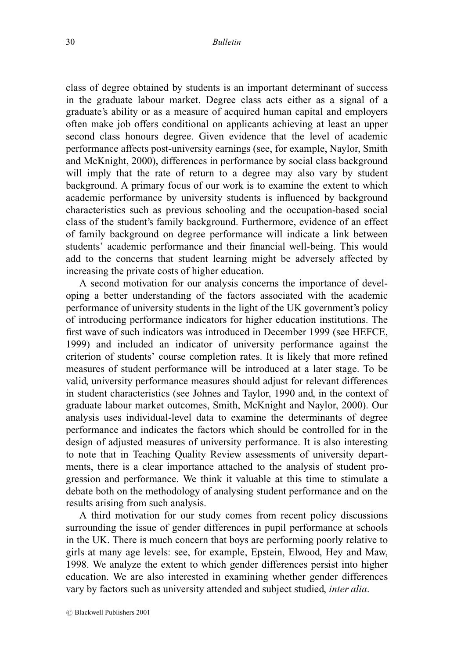class of degree obtained by students is an important determinant of success in the graduate labour market. Degree class acts either as a signal of a graduate's ability or as a measure of acquired human capital and employers often make job offers conditional on applicants achieving at least an upper second class honours degree. Given evidence that the level of academic performance affects post-university earnings (see, for example, Naylor, Smith and McKnight, 2000), differences in performance by social class background will imply that the rate of return to a degree may also vary by student background. A primary focus of our work is to examine the extent to which academic performance by university students is influenced by background characteristics such as previous schooling and the occupation-based social class of the student's family background. Furthermore, evidence of an effect of family background on degree performance will indicate a link between students' academic performance and their financial well-being. This would add to the concerns that student learning might be adversely affected by increasing the private costs of higher education.

A second motivation for our analysis concerns the importance of developing a better understanding of the factors associated with the academic performance of university students in the light of the UK government's policy of introducing performance indicators for higher education institutions. The first wave of such indicators was introduced in December 1999 (see HEFCE, 1999) and included an indicator of university performance against the criterion of students' course completion rates. It is likely that more refined measures of student performance will be introduced at a later stage. To be valid, university performance measures should adjust for relevant differences in student characteristics (see Johnes and Taylor, 1990 and, in the context of graduate labour market outcomes, Smith, McKnight and Naylor, 2000). Our analysis uses individual-level data to examine the determinants of degree performance and indicates the factors which should be controlled for in the design of adjusted measures of university performance. It is also interesting to note that in Teaching Quality Review assessments of university departments, there is a clear importance attached to the analysis of student progression and performance. We think it valuable at this time to stimulate a debate both on the methodology of analysing student performance and on the results arising from such analysis.

A third motivation for our study comes from recent policy discussions surrounding the issue of gender differences in pupil performance at schools in the UK. There is much concern that boys are performing poorly relative to girls at many age levels: see, for example, Epstein, Elwood, Hey and Maw, 1998. We analyze the extent to which gender differences persist into higher education. We are also interested in examining whether gender differences vary by factors such as university attended and subject studied, inter alia.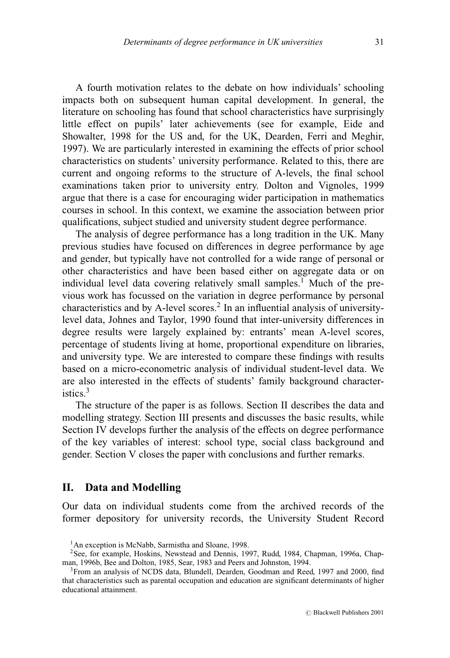A fourth motivation relates to the debate on how individuals' schooling impacts both on subsequent human capital development. In general, the literature on schooling has found that school characteristics have surprisingly little effect on pupils' later achievements (see for example, Eide and Showalter, 1998 for the US and, for the UK, Dearden, Ferri and Meghir, 1997). We are particularly interested in examining the effects of prior school characteristics on students' university performance. Related to this, there are current and ongoing reforms to the structure of A-levels, the final school examinations taken prior to university entry. Dolton and Vignoles, 1999 argue that there is a case for encouraging wider participation in mathematics courses in school. In this context, we examine the association between prior qualifications, subject studied and university student degree performance.

The analysis of degree performance has a long tradition in the UK. Many previous studies have focused on differences in degree performance by age and gender, but typically have not controlled for a wide range of personal or other characteristics and have been based either on aggregate data or on individual level data covering relatively small samples.<sup>1</sup> Much of the previous work has focussed on the variation in degree performance by personal characteristics and by A-level scores. $<sup>2</sup>$  In an influential analysis of university-</sup> level data, Johnes and Taylor, 1990 found that inter-university differences in degree results were largely explained by: entrants' mean A-level scores, percentage of students living at home, proportional expenditure on libraries, and university type. We are interested to compare these findings with results based on a micro-econometric analysis of individual student-level data. We are also interested in the effects of students' family background characteristics.3

The structure of the paper is as follows. Section II describes the data and modelling strategy. Section III presents and discusses the basic results, while Section IV develops further the analysis of the effects on degree performance of the key variables of interest: school type, social class background and gender. Section V closes the paper with conclusions and further remarks.

# II. Data and Modelling

Our data on individual students come from the archived records of the former depository for university records, the University Student Record

<sup>&</sup>lt;sup>1</sup>An exception is McNabb, Sarmistha and Sloane, 1998.

<sup>&</sup>lt;sup>2</sup>See, for example, Hoskins, Newstead and Dennis, 1997, Rudd, 1984, Chapman, 1996a, Chapman, 1996b, Bee and Dolton, 1985, Sear, 1983 and Peers and Johnston, 1994.

<sup>&</sup>lt;sup>3</sup> From an analysis of NCDS data, Blundell, Dearden, Goodman and Reed, 1997 and 2000, find that characteristics such as parental occupation and education are significant determinants of higher educational attainment.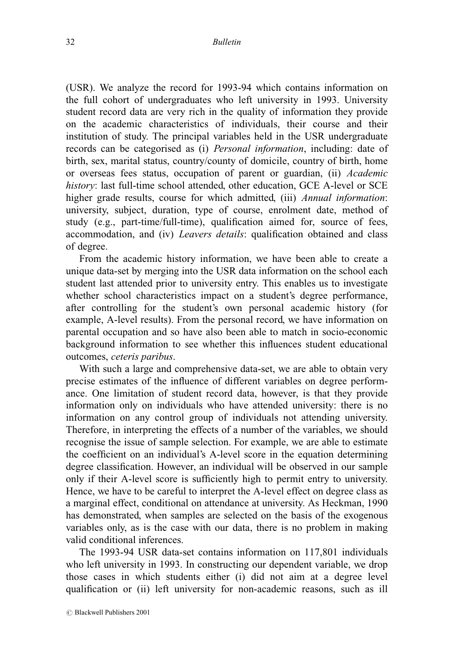(USR). We analyze the record for 1993-94 which contains information on the full cohort of undergraduates who left university in 1993. University student record data are very rich in the quality of information they provide on the academic characteristics of individuals, their course and their institution of study. The principal variables held in the USR undergraduate records can be categorised as (i) Personal information, including: date of birth, sex, marital status, country/county of domicile, country of birth, home or overseas fees status, occupation of parent or guardian, (ii) Academic history: last full-time school attended, other education, GCE A-level or SCE higher grade results, course for which admitted, (iii) Annual information: university, subject, duration, type of course, enrolment date, method of study (e.g., part-time/full-time), qualification aimed for, source of fees, accommodation, and (iv) Leavers details: qualification obtained and class of degree.

From the academic history information, we have been able to create a unique data-set by merging into the USR data information on the school each student last attended prior to university entry. This enables us to investigate whether school characteristics impact on a student's degree performance, after controlling for the student's own personal academic history (for example, A-level results). From the personal record, we have information on parental occupation and so have also been able to match in socio-economic background information to see whether this influences student educational outcomes, ceteris paribus.

With such a large and comprehensive data-set, we are able to obtain very precise estimates of the influence of different variables on degree performance. One limitation of student record data, however, is that they provide information only on individuals who have attended university: there is no information on any control group of individuals not attending university. Therefore, in interpreting the effects of a number of the variables, we should recognise the issue of sample selection. For example, we are able to estimate the coefficient on an individual's A-level score in the equation determining degree classification. However, an individual will be observed in our sample only if their A-level score is sufficiently high to permit entry to university. Hence, we have to be careful to interpret the A-level effect on degree class as a marginal effect, conditional on attendance at university. As Heckman, 1990 has demonstrated, when samples are selected on the basis of the exogenous variables only, as is the case with our data, there is no problem in making valid conditional inferences.

The 1993-94 USR data-set contains information on 117,801 individuals who left university in 1993. In constructing our dependent variable, we drop those cases in which students either (i) did not aim at a degree level qualification or (ii) left university for non-academic reasons, such as ill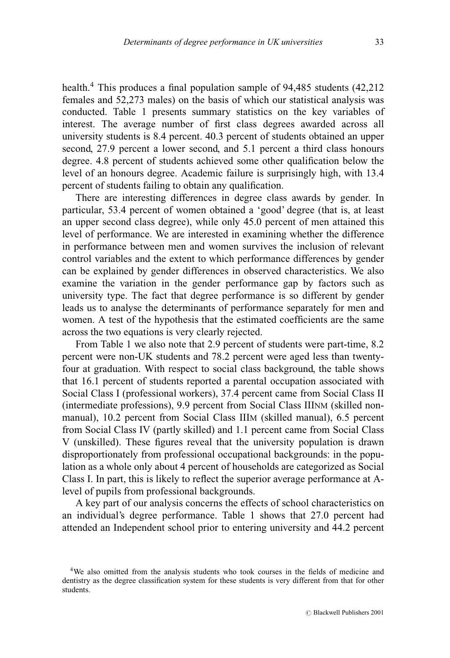health.<sup>4</sup> This produces a final population sample of 94,485 students (42,212) females and 52,273 males) on the basis of which our statistical analysis was conducted. Table 1 presents summary statistics on the key variables of interest. The average number of first class degrees awarded across all university students is 8.4 percent. 40.3 percent of students obtained an upper second, 27.9 percent a lower second, and 5.1 percent a third class honours degree. 4.8 percent of students achieved some other qualification below the level of an honours degree. Academic failure is surprisingly high, with 13.4 percent of students failing to obtain any qualification.

There are interesting differences in degree class awards by gender. In particular, 53.4 percent of women obtained a `good' degree (that is, at least an upper second class degree), while only 45.0 percent of men attained this level of performance. We are interested in examining whether the difference in performance between men and women survives the inclusion of relevant control variables and the extent to which performance differences by gender can be explained by gender differences in observed characteristics. We also examine the variation in the gender performance gap by factors such as university type. The fact that degree performance is so different by gender leads us to analyse the determinants of performance separately for men and women. A test of the hypothesis that the estimated coefficients are the same across the two equations is very clearly rejected.

From Table 1 we also note that 2.9 percent of students were part-time, 8.2 percent were non-UK students and 78.2 percent were aged less than twentyfour at graduation. With respect to social class background, the table shows that 16.1 percent of students reported a parental occupation associated with Social Class I (professional workers), 37.4 percent came from Social Class II (intermediate professions), 9.9 percent from Social Class IIINM (skilled nonmanual), 10.2 percent from Social Class IIIM (skilled manual), 6.5 percent from Social Class IV (partly skilled) and 1.1 percent came from Social Class V (unskilled). These figures reveal that the university population is drawn disproportionately from professional occupational backgrounds: in the population as a whole only about 4 percent of households are categorized as Social Class I. In part, this is likely to reflect the superior average performance at Alevel of pupils from professional backgrounds.

A key part of our analysis concerns the effects of school characteristics on an individual's degree performance. Table 1 shows that 27.0 percent had attended an Independent school prior to entering university and 44.2 percent

<sup>&</sup>lt;sup>4</sup>We also omitted from the analysis students who took courses in the fields of medicine and dentistry as the degree classification system for these students is very different from that for other students.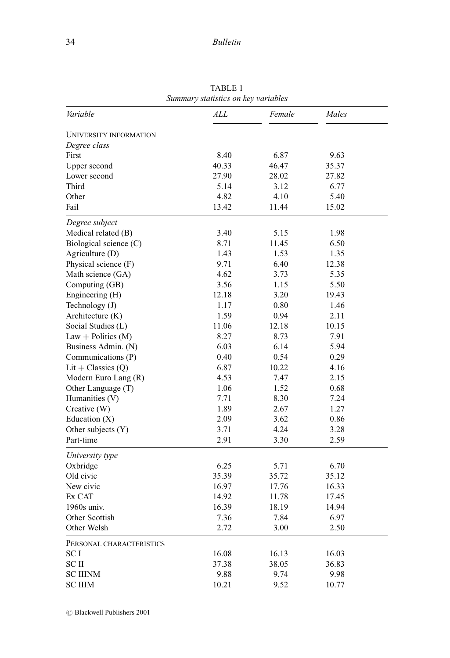| Variable                 | <b>ALL</b> | Female | Males |
|--------------------------|------------|--------|-------|
| UNIVERSITY INFORMATION   |            |        |       |
| Degree class             |            |        |       |
| First                    | 8.40       | 6.87   | 9.63  |
| Upper second             | 40.33      | 46.47  | 35.37 |
| Lower second             | 27.90      | 28.02  | 27.82 |
| Third                    | 5.14       | 3.12   | 6.77  |
| Other                    | 4.82       | 4.10   | 5.40  |
| Fail                     | 13.42      | 11.44  | 15.02 |
| Degree subject           |            |        |       |
| Medical related (B)      | 3.40       | 5.15   | 1.98  |
| Biological science $(C)$ | 8.71       | 11.45  | 6.50  |
| Agriculture (D)          | 1.43       | 1.53   | 1.35  |
| Physical science (F)     | 9.71       | 6.40   | 12.38 |
| Math science (GA)        | 4.62       | 3.73   | 5.35  |
| Computing (GB)           | 3.56       | 1.15   | 5.50  |
| Engineering (H)          | 12.18      | 3.20   | 19.43 |
| Technology (J)           | 1.17       | 0.80   | 1.46  |
| Architecture (K)         | 1.59       | 0.94   | 2.11  |
| Social Studies (L)       | 11.06      | 12.18  | 10.15 |
| Law + Politics $(M)$     | 8.27       | 8.73   | 7.91  |
| Business Admin. (N)      | 6.03       | 6.14   | 5.94  |
| Communications (P)       | 0.40       | 0.54   | 0.29  |
| Lit + Classics $(Q)$     | 6.87       | 10.22  | 4.16  |
| Modern Euro Lang (R)     | 4.53       | 7.47   | 2.15  |
| Other Language (T)       | 1.06       | 1.52   | 0.68  |
| Humanities (V)           | 7.71       | 8.30   | 7.24  |
| Creative (W)             | 1.89       | 2.67   | 1.27  |
| Education $(X)$          | 2.09       | 3.62   | 0.86  |
| Other subjects (Y)       | 3.71       | 4.24   | 3.28  |
| Part-time                | 2.91       | 3.30   | 2.59  |
| University type          |            |        |       |
| Oxbridge                 | 6.25       | 5.71   | 6.70  |
| Old civic                | 35.39      | 35.72  | 35.12 |
| New civic                | 16.97      | 17.76  | 16.33 |
| Ex CAT                   | 14.92      | 11.78  | 17.45 |
| $1960s$ univ.            | 16.39      | 18.19  | 14.94 |
| Other Scottish           | 7.36       | 7.84   | 6.97  |
| Other Welsh              | 2.72       | 3.00   | 2.50  |
| PERSONAL CHARACTERISTICS |            |        |       |
| SC I                     | 16.08      | 16.13  | 16.03 |
| SC II                    | 37.38      | 38.05  | 36.83 |
| <b>SC IIINM</b>          | 9.88       | 9.74   | 9.98  |
| <b>SC IIIM</b>           | 10.21      | 9.52   | 10.77 |

TABLE 1 Summary statistics on key variables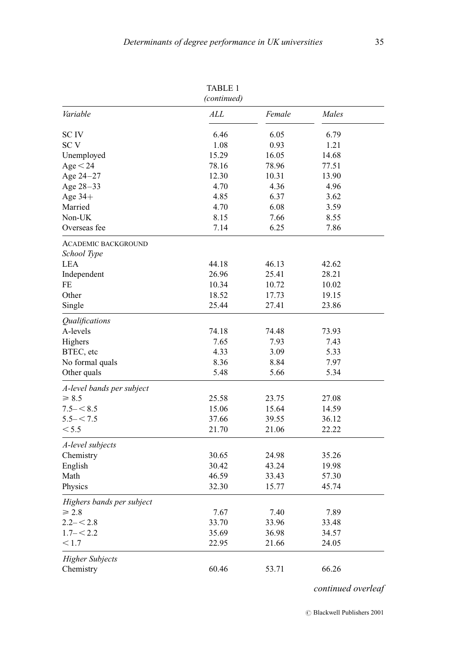| TABLE 1<br>(continued)              |       |        |       |  |  |  |  |  |
|-------------------------------------|-------|--------|-------|--|--|--|--|--|
| Variable                            | ALL   | Female | Males |  |  |  |  |  |
| SC IV                               | 6.46  | 6.05   | 6.79  |  |  |  |  |  |
| SC V                                | 1.08  | 0.93   | 1.21  |  |  |  |  |  |
| Unemployed                          | 15.29 | 16.05  | 14.68 |  |  |  |  |  |
| Age < 24                            | 78.16 | 78.96  | 77.51 |  |  |  |  |  |
| Age 24-27                           | 12.30 | 10.31  | 13.90 |  |  |  |  |  |
| Age 28-33                           | 4.70  | 4.36   | 4.96  |  |  |  |  |  |
| Age $34+$                           | 4.85  | 6.37   | 3.62  |  |  |  |  |  |
| Married                             | 4.70  | 6.08   | 3.59  |  |  |  |  |  |
| Non-UK                              | 8.15  | 7.66   | 8.55  |  |  |  |  |  |
| Overseas fee                        | 7.14  | 6.25   | 7.86  |  |  |  |  |  |
| <b>ACADEMIC BACKGROUND</b>          |       |        |       |  |  |  |  |  |
| School Type                         |       |        |       |  |  |  |  |  |
| LEA                                 | 44.18 | 46.13  | 42.62 |  |  |  |  |  |
| Independent                         | 26.96 | 25.41  | 28.21 |  |  |  |  |  |
| FE                                  | 10.34 | 10.72  | 10.02 |  |  |  |  |  |
| Other                               | 18.52 | 17.73  | 19.15 |  |  |  |  |  |
| Single                              | 25.44 | 27.41  | 23.86 |  |  |  |  |  |
| <i><u><b>Oualifications</b></u></i> |       |        |       |  |  |  |  |  |
| A-levels                            | 74.18 | 74.48  | 73.93 |  |  |  |  |  |
| Highers                             | 7.65  | 7.93   | 7.43  |  |  |  |  |  |
| BTEC, etc                           | 4.33  | 3.09   | 5.33  |  |  |  |  |  |
| No formal quals                     | 8.36  | 8.84   | 7.97  |  |  |  |  |  |
| Other quals                         | 5.48  | 5.66   | 5.34  |  |  |  |  |  |
| A-level bands per subject           |       |        |       |  |  |  |  |  |
| $\ge 8.5$                           | 25.58 | 23.75  | 27.08 |  |  |  |  |  |
| $7.5 - < 8.5$                       | 15.06 | 15.64  | 14.59 |  |  |  |  |  |
| $5.5 - 7.5$                         | 37.66 | 39.55  | 36.12 |  |  |  |  |  |
| < 5.5                               | 21.70 | 21.06  | 22.22 |  |  |  |  |  |
| A-level subjects                    |       |        |       |  |  |  |  |  |
| Chemistry                           | 30.65 | 24.98  | 35.26 |  |  |  |  |  |
| English                             | 30.42 | 43.24  | 19.98 |  |  |  |  |  |
| Math                                | 46.59 | 33.43  | 57.30 |  |  |  |  |  |
| Physics                             | 32.30 | 15.77  | 45.74 |  |  |  |  |  |
| Highers bands per subject           |       |        |       |  |  |  |  |  |
| $\geq 2.8$                          | 7.67  | 7.40   | 7.89  |  |  |  |  |  |
| $2.2 - 2.8$                         | 33.70 | 33.96  | 33.48 |  |  |  |  |  |
| $1.7 - 2.2$                         | 35.69 | 36.98  | 34.57 |  |  |  |  |  |
| < 1.7                               | 22.95 | 21.66  | 24.05 |  |  |  |  |  |
| <b>Higher Subjects</b>              |       |        |       |  |  |  |  |  |
| Chemistry                           | 60.46 | 53.71  | 66.26 |  |  |  |  |  |

continued overleaf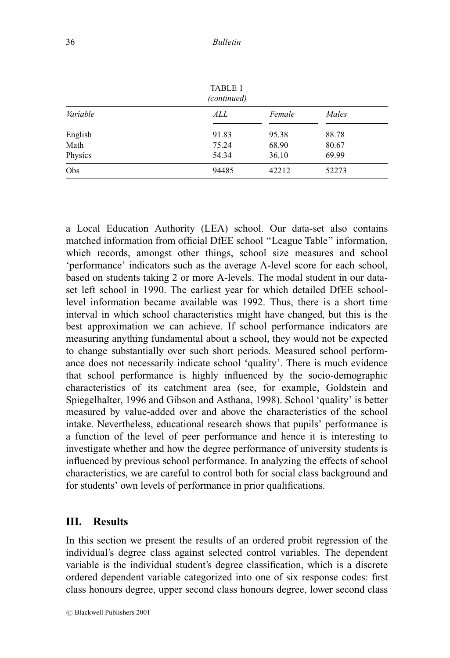| <b>TABLE 1</b><br>(continued) |       |        |       |  |  |  |  |
|-------------------------------|-------|--------|-------|--|--|--|--|
| Variable                      | ALL   | Female | Males |  |  |  |  |
| English                       | 91.83 | 95.38  | 88.78 |  |  |  |  |
| Math                          | 75.24 | 68.90  | 80.67 |  |  |  |  |
| Physics                       | 54.34 | 36.10  | 69.99 |  |  |  |  |
| Obs                           | 94485 | 42212  | 52273 |  |  |  |  |

a Local Education Authority (LEA) school. Our data-set also contains matched information from official DfEE school "League Table" information, which records, amongst other things, school size measures and school `performance' indicators such as the average A-level score for each school, based on students taking 2 or more A-levels. The modal student in our dataset left school in 1990. The earliest year for which detailed DfEE schoollevel information became available was 1992. Thus, there is a short time interval in which school characteristics might have changed, but this is the best approximation we can achieve. If school performance indicators are measuring anything fundamental about a school, they would not be expected to change substantially over such short periods. Measured school performance does not necessarily indicate school 'quality'. There is much evidence that school performance is highly influenced by the socio-demographic characteristics of its catchment area (see, for example, Goldstein and Spiegelhalter, 1996 and Gibson and Asthana, 1998). School `quality' is better measured by value-added over and above the characteristics of the school intake. Nevertheless, educational research shows that pupils' performance is a function of the level of peer performance and hence it is interesting to investigate whether and how the degree performance of university students is influenced by previous school performance. In analyzing the effects of school characteristics, we are careful to control both for social class background and for students' own levels of performance in prior qualifications.

# III. Results

In this section we present the results of an ordered probit regression of the individual's degree class against selected control variables. The dependent variable is the individual student's degree classification, which is a discrete ordered dependent variable categorized into one of six response codes: first class honours degree, upper second class honours degree, lower second class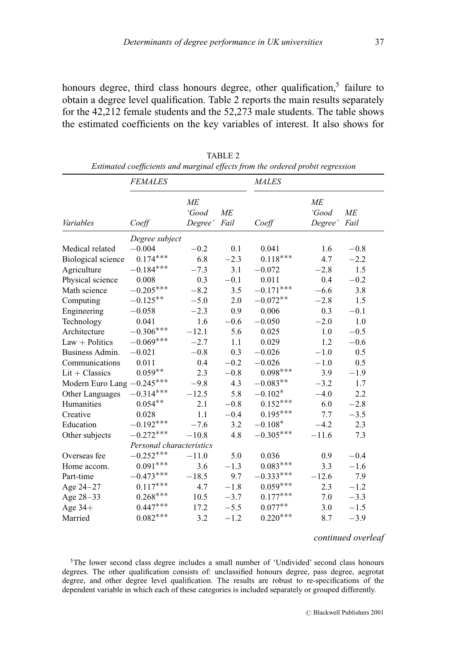honours degree, third class honours degree, other qualification, $5$  failure to obtain a degree level qualification. Table 2 reports the main results separately for the 42,212 female students and the 52,273 male students. The table shows the estimated coefficients on the key variables of interest. It also shows for

|                            | <b>FEMALES</b>           |                        |                   | <b>MALES</b>       |                           |            |  |
|----------------------------|--------------------------|------------------------|-------------------|--------------------|---------------------------|------------|--|
| Variables                  | Coeff                    | ME<br>'Good<br>Degree' | <b>ME</b><br>Fail | Coeff              | ME<br>' $Good$<br>Degree' | МE<br>Fail |  |
|                            | Degree subject           |                        |                   |                    |                           |            |  |
| Medical related            | $-0.004$                 | $-0.2$                 | 0.1               | 0.041              | 1.6                       | $-0.8$     |  |
| Biological science         | $0.174***$               | 6.8                    | $-2.3$            | $0.118***$         | 4.7                       | $-2.2$     |  |
| Agriculture                | $-0.184***$              | $-7.3$                 | 3.1               | $-0.072$           | $-2.8$                    | 1.5        |  |
| Physical science           | 0.008                    | 0.3                    | $-0.1$            | 0.011              | 0.4                       | $-0.2$     |  |
| Math science               | $-0.205***$              | $-8.2$                 | 3.5               | $-0.171***$        | $-6.6$                    | 3.8        |  |
| Computing                  | $-0.125**$               | $-5.0$                 | 2.0               | $-0.072**$         | $-2.8$                    | 1.5        |  |
| Engineering                | $-0.058$                 | $-2.3$                 | 0.9               | 0.006              | 0.3                       | $-0.1$     |  |
| Technology                 | 0.041                    | 1.6                    | $-0.6$            | $-0.050$           | $-2.0$                    | 1.0        |  |
| Architecture               | $-0.306***$              | $-12.1$                | 5.6               | 0.025              | 1.0                       | $-0.5$     |  |
| $Law + Politics$           | $-0.069***$              | $-2.7$                 | 1.1               | 0.029              | 1.2                       | $-0.6$     |  |
| Business Admin.            | $-0.021$                 | $-0.8$                 | 0.3               | $-0.026$           | $-1.0$                    | 0.5        |  |
| Communications             | 0.011                    | 0.4                    | $-0.2$            | $-0.026$           | $-1.0$                    | 0.5        |  |
| $Lit + Classics$           | $0.059**$                | 2.3                    | $-0.8$            | $0.098***$         | 3.9                       | $-1.9$     |  |
| Modern Euro Lang -0.245*** |                          | $-9.8$                 | 4.3               | $-0.083**$         | $-3.2$                    | 1.7        |  |
| Other Languages            | $-0.314***$              | $-12.5$                | 5.8               | $-0.102*$          | $-4.0$                    | 2.2        |  |
| Humanities                 | $0.054**$                | 2.1                    | $-0.8$            | $0.152***$         | 6.0                       | $-2.8$     |  |
| Creative                   | 0.028                    | 1.1                    | $-0.4$            | $0.195***$         | 7.7                       | $-3.5$     |  |
| Education                  | $-0.192***$              | $-7.6$                 | 3.2               | $-0.108*$          | $-4.2$                    | 2.3        |  |
| Other subjects             | $-0.272***$              | $-10.8$                | 4.8               | $-0.305***$        | $-11.6$                   | 7.3        |  |
|                            | Personal characteristics |                        |                   |                    |                           |            |  |
| Overseas fee               | $-0.252***$              | $-11.0$                | 5.0               | 0.036              | 0.9                       | $-0.4$     |  |
| Home accom.                | $0.091***$               | 3.6                    | $-1.3$            | $0.083***$         | 3.3                       | $-1.6$     |  |
| Part-time                  | $-0.473***$              | $-18.5$                | 9.7               | $-0.333***$        | $-12.6$                   | 7.9        |  |
| Age 24-27                  | $0.117***$               | 4.7                    | $-1.8$            | $0.059***$         | 2.3                       | $-1.2$     |  |
| Age 28-33                  | $0.268***$               | 10.5                   | $-3.7$            | $0.177***$         | 7.0                       | $-3.3$     |  |
| Age $34+$                  | $0.447***$               | 17.2                   | $-5.5$            | $0.077^{\ast\ast}$ | 3.0                       | $-1.5$     |  |
| Married                    | $0.082***$               | 3.2                    | $-1.2$            | $0.220***$         | 8.7                       | $-3.9$     |  |

TABLE 2 Estimated coefficients and marginal effects from the ordered probit regression

# continued overleaf

<sup>5</sup>The lower second class degree includes a small number of 'Undivided' second class honours degrees. The other qualification consists of: unclassified honours degree, pass degree, aegrotat degree, and other degree level qualification. The results are robust to re-specifications of the dependent variable in which each of these categories is included separately or grouped differently.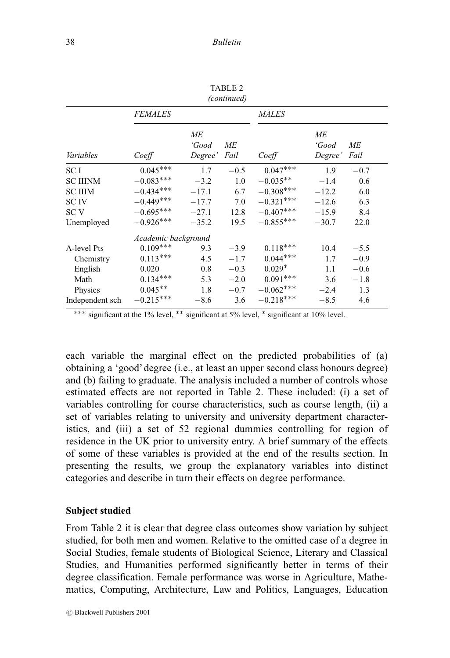| TABLE 2<br>(continued) |                     |                               |            |              |                               |            |  |
|------------------------|---------------------|-------------------------------|------------|--------------|-------------------------------|------------|--|
|                        | <i>FEMALES</i>      |                               |            | <b>MALES</b> |                               |            |  |
| Variables              | Coeff               | МE<br><i>'Good</i><br>Degree' | МE<br>Fail | Coeff        | МE<br><i>'Good</i><br>Degree' | МE<br>Fail |  |
| SC I                   | $0.045***$          | 1.7                           | $-0.5$     | $0.047***$   | 1.9                           | $-0.7$     |  |
| <b>SC IIINM</b>        | $-0.083***$         | $-3.2$                        | 1.0        | $-0.035**$   | $-1.4$                        | 0.6        |  |
| <b>SC IIIM</b>         | $-0.434***$         | $-17.1$                       | 6.7        | $-0.308***$  | $-12.2$                       | 6.0        |  |
| <b>SCIV</b>            | $-0.449***$         | $-17.7$                       | 7.0        | $-0.321***$  | $-12.6$                       | 6.3        |  |
| SC V                   | $-0.695***$         | $-27.1$                       | 12.8       | $-0.407***$  | $-15.9$                       | 8.4        |  |
| Unemployed             | $-0.926***$         | $-35.2$                       | 19.5       | $-0.855***$  | $-30.7$                       | 22.0       |  |
|                        | Academic background |                               |            |              |                               |            |  |
| A-level Pts            | $0.109***$          | 9.3                           | $-3.9$     | $0.118***$   | 10.4                          | $-5.5$     |  |
| Chemistry              | $0.113***$          | 4.5                           | $-1.7$     | $0.044***$   | 1.7                           | $-0.9$     |  |
| English                | 0.020               | 0.8                           | $-0.3$     | $0.029*$     | 1.1                           | $-0.6$     |  |
| Math                   | $0.134***$          | 5.3                           | $-2.0$     | $0.091***$   | 3.6                           | $-1.8$     |  |
| Physics                | $0.045**$           | 1.8                           | $-0.7$     | $-0.062***$  | $-2.4$                        | 1.3        |  |
| Independent sch        | $-0.215***$         | $-8.6$                        | 3.6        | $-0.218***$  | $-8.5$                        | 4.6        |  |

\*\*\* significant at the 1% level,  $**$  significant at 5% level,  $*$  significant at 10% level.

each variable the marginal effect on the predicted probabilities of (a) obtaining a `good' degree (i.e., at least an upper second class honours degree) and (b) failing to graduate. The analysis included a number of controls whose estimated effects are not reported in Table 2. These included: (i) a set of variables controlling for course characteristics, such as course length, (ii) a set of variables relating to university and university department characteristics, and (iii) a set of 52 regional dummies controlling for region of residence in the UK prior to university entry. A brief summary of the effects of some of these variables is provided at the end of the results section. In presenting the results, we group the explanatory variables into distinct categories and describe in turn their effects on degree performance.

## Subject studied

From Table 2 it is clear that degree class outcomes show variation by subject studied, for both men and women. Relative to the omitted case of a degree in Social Studies, female students of Biological Science, Literary and Classical Studies, and Humanities performed significantly better in terms of their degree classification. Female performance was worse in Agriculture, Mathematics, Computing, Architecture, Law and Politics, Languages, Education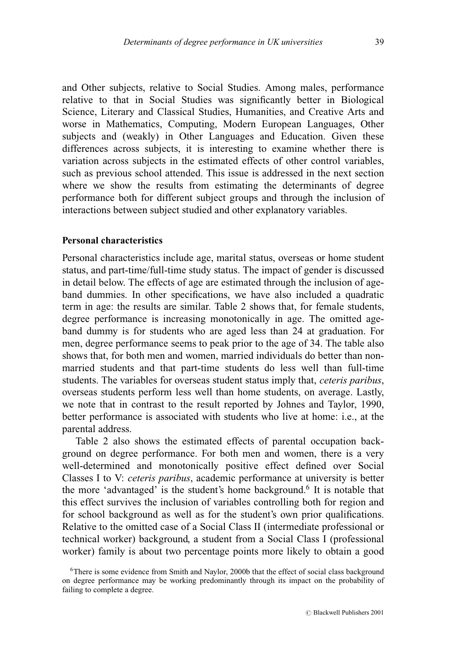and Other subjects, relative to Social Studies. Among males, performance relative to that in Social Studies was significantly better in Biological Science, Literary and Classical Studies, Humanities, and Creative Arts and worse in Mathematics, Computing, Modern European Languages, Other subjects and (weakly) in Other Languages and Education. Given these differences across subjects, it is interesting to examine whether there is variation across subjects in the estimated effects of other control variables, such as previous school attended. This issue is addressed in the next section where we show the results from estimating the determinants of degree performance both for different subject groups and through the inclusion of interactions between subject studied and other explanatory variables.

## Personal characteristics

Personal characteristics include age, marital status, overseas or home student status, and part-time/full-time study status. The impact of gender is discussed in detail below. The effects of age are estimated through the inclusion of ageband dummies. In other specifications, we have also included a quadratic term in age: the results are similar. Table 2 shows that, for female students, degree performance is increasing monotonically in age. The omitted ageband dummy is for students who are aged less than 24 at graduation. For men, degree performance seems to peak prior to the age of 34. The table also shows that, for both men and women, married individuals do better than nonmarried students and that part-time students do less well than full-time students. The variables for overseas student status imply that, ceteris paribus, overseas students perform less well than home students, on average. Lastly, we note that in contrast to the result reported by Johnes and Taylor, 1990, better performance is associated with students who live at home: i.e., at the parental address.

Table 2 also shows the estimated effects of parental occupation background on degree performance. For both men and women, there is a very well-determined and monotonically positive effect defined over Social Classes I to V: ceteris paribus, academic performance at university is better the more `advantaged' is the student's home background.6 It is notable that this effect survives the inclusion of variables controlling both for region and for school background as well as for the student's own prior qualifications. Relative to the omitted case of a Social Class II (intermediate professional or technical worker) background, a student from a Social Class I (professional worker) family is about two percentage points more likely to obtain a good

 $6$ There is some evidence from Smith and Naylor, 2000b that the effect of social class background on degree performance may be working predominantly through its impact on the probability of failing to complete a degree.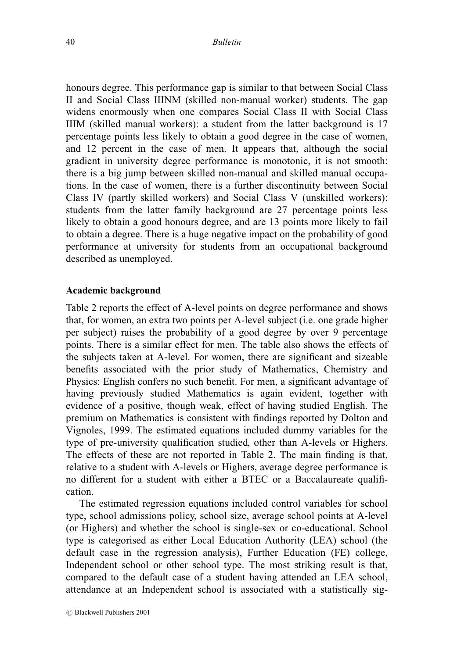honours degree. This performance gap is similar to that between Social Class II and Social Class IIINM (skilled non-manual worker) students. The gap widens enormously when one compares Social Class II with Social Class IIIM (skilled manual workers): a student from the latter background is 17 percentage points less likely to obtain a good degree in the case of women, and 12 percent in the case of men. It appears that, although the social gradient in university degree performance is monotonic, it is not smooth: there is a big jump between skilled non-manual and skilled manual occupations. In the case of women, there is a further discontinuity between Social Class IV (partly skilled workers) and Social Class V (unskilled workers): students from the latter family background are 27 percentage points less likely to obtain a good honours degree, and are 13 points more likely to fail to obtain a degree. There is a huge negative impact on the probability of good performance at university for students from an occupational background described as unemployed.

### Academic background

Table 2 reports the effect of A-level points on degree performance and shows that, for women, an extra two points per A-level subject (i.e. one grade higher per subject) raises the probability of a good degree by over 9 percentage points. There is a similar effect for men. The table also shows the effects of the subjects taken at A-level. For women, there are significant and sizeable benefits associated with the prior study of Mathematics, Chemistry and Physics: English confers no such benefit. For men, a significant advantage of having previously studied Mathematics is again evident, together with evidence of a positive, though weak, effect of having studied English. The premium on Mathematics is consistent with findings reported by Dolton and Vignoles, 1999. The estimated equations included dummy variables for the type of pre-university qualification studied, other than A-levels or Highers. The effects of these are not reported in Table 2. The main finding is that, relative to a student with A-levels or Highers, average degree performance is no different for a student with either a BTEC or a Baccalaureate qualification.

The estimated regression equations included control variables for school type, school admissions policy, school size, average school points at A-level (or Highers) and whether the school is single-sex or co-educational. School type is categorised as either Local Education Authority (LEA) school (the default case in the regression analysis), Further Education (FE) college, Independent school or other school type. The most striking result is that, compared to the default case of a student having attended an LEA school, attendance at an Independent school is associated with a statistically sig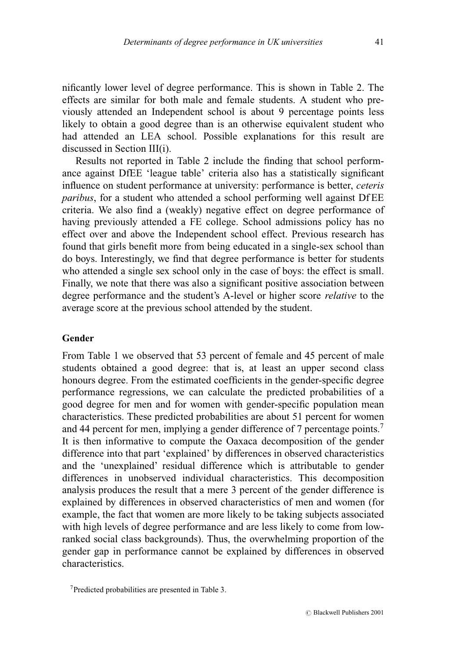nificantly lower level of degree performance. This is shown in Table 2. The effects are similar for both male and female students. A student who previously attended an Independent school is about 9 percentage points less likely to obtain a good degree than is an otherwise equivalent student who had attended an LEA school. Possible explanations for this result are discussed in Section III(i).

Results not reported in Table 2 include the finding that school performance against DfEE 'league table' criteria also has a statistically significant influence on student performance at university: performance is better, ceteris paribus, for a student who attended a school performing well against Df EE criteria. We also find a (weakly) negative effect on degree performance of having previously attended a FE college. School admissions policy has no effect over and above the Independent school effect. Previous research has found that girls benefit more from being educated in a single-sex school than do boys. Interestingly, we find that degree performance is better for students who attended a single sex school only in the case of boys: the effect is small. Finally, we note that there was also a significant positive association between degree performance and the student's A-level or higher score relative to the average score at the previous school attended by the student.

# Gender

From Table 1 we observed that 53 percent of female and 45 percent of male students obtained a good degree: that is, at least an upper second class honours degree. From the estimated coefficients in the gender-specific degree performance regressions, we can calculate the predicted probabilities of a good degree for men and for women with gender-specific population mean characteristics. These predicted probabilities are about 51 percent for women and 44 percent for men, implying a gender difference of 7 percentage points.<sup>7</sup> It is then informative to compute the Oaxaca decomposition of the gender difference into that part 'explained' by differences in observed characteristics and the `unexplained' residual difference which is attributable to gender differences in unobserved individual characteristics. This decomposition analysis produces the result that a mere 3 percent of the gender difference is explained by differences in observed characteristics of men and women (for example, the fact that women are more likely to be taking subjects associated with high levels of degree performance and are less likely to come from lowranked social class backgrounds). Thus, the overwhelming proportion of the gender gap in performance cannot be explained by differences in observed characteristics.

<sup>7</sup>Predicted probabilities are presented in Table 3.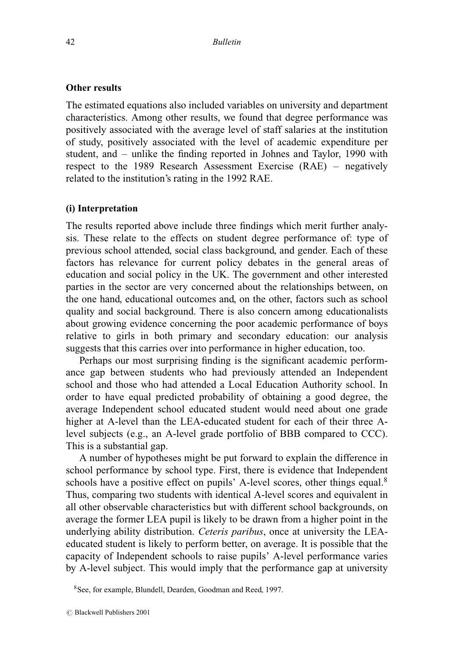#### Other results

The estimated equations also included variables on university and department characteristics. Among other results, we found that degree performance was positively associated with the average level of staff salaries at the institution of study, positively associated with the level of academic expenditure per student, and  $-$  unlike the finding reported in Johnes and Taylor, 1990 with respect to the 1989 Research Assessment Exercise  $(RAE)$  – negatively related to the institution's rating in the 1992 RAE.

## (i) Interpretation

The results reported above include three findings which merit further analysis. These relate to the effects on student degree performance of: type of previous school attended, social class background, and gender. Each of these factors has relevance for current policy debates in the general areas of education and social policy in the UK. The government and other interested parties in the sector are very concerned about the relationships between, on the one hand, educational outcomes and, on the other, factors such as school quality and social background. There is also concern among educationalists about growing evidence concerning the poor academic performance of boys relative to girls in both primary and secondary education: our analysis suggests that this carries over into performance in higher education, too.

Perhaps our most surprising finding is the significant academic performance gap between students who had previously attended an Independent school and those who had attended a Local Education Authority school. In order to have equal predicted probability of obtaining a good degree, the average Independent school educated student would need about one grade higher at A-level than the LEA-educated student for each of their three Alevel subjects (e.g., an A-level grade portfolio of BBB compared to CCC). This is a substantial gap.

A number of hypotheses might be put forward to explain the difference in school performance by school type. First, there is evidence that Independent schools have a positive effect on pupils' A-level scores, other things equal.<sup>8</sup> Thus, comparing two students with identical A-level scores and equivalent in all other observable characteristics but with different school backgrounds, on average the former LEA pupil is likely to be drawn from a higher point in the underlying ability distribution. Ceteris paribus, once at university the LEAeducated student is likely to perform better, on average. It is possible that the capacity of Independent schools to raise pupils' A-level performance varies by A-level subject. This would imply that the performance gap at university

<sup>8</sup>See, for example, Blundell, Dearden, Goodman and Reed, 1997.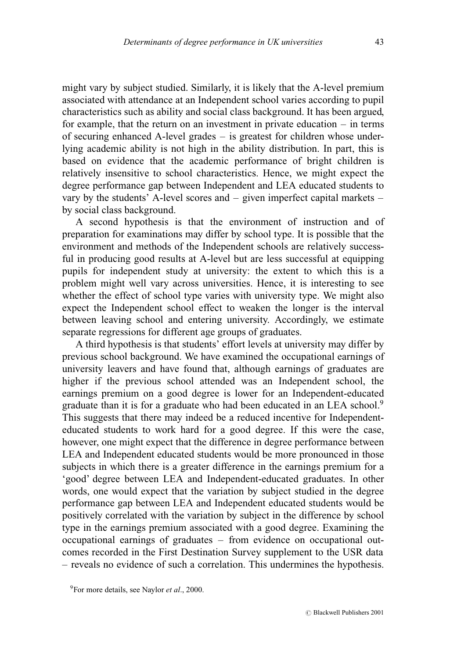might vary by subject studied. Similarly, it is likely that the A-level premium associated with attendance at an Independent school varies according to pupil characteristics such as ability and social class background. It has been argued, for example, that the return on an investment in private education  $-\text{ in terms}$ of securing enhanced A-level grades  $-\text{i}$  is greatest for children whose underlying academic ability is not high in the ability distribution. In part, this is based on evidence that the academic performance of bright children is relatively insensitive to school characteristics. Hence, we might expect the degree performance gap between Independent and LEA educated students to vary by the students' A-level scores and  $-\frac{1}{2}$  given imperfect capital markets  $-\frac{1}{2}$ by social class background.

A second hypothesis is that the environment of instruction and of preparation for examinations may differ by school type. It is possible that the environment and methods of the Independent schools are relatively successful in producing good results at A-level but are less successful at equipping pupils for independent study at university: the extent to which this is a problem might well vary across universities. Hence, it is interesting to see whether the effect of school type varies with university type. We might also expect the Independent school effect to weaken the longer is the interval between leaving school and entering university. Accordingly, we estimate separate regressions for different age groups of graduates.

A third hypothesis is that students' effort levels at university may differ by previous school background. We have examined the occupational earnings of university leavers and have found that, although earnings of graduates are higher if the previous school attended was an Independent school, the earnings premium on a good degree is lower for an Independent-educated graduate than it is for a graduate who had been educated in an LEA school.<sup>9</sup> This suggests that there may indeed be a reduced incentive for Independenteducated students to work hard for a good degree. If this were the case, however, one might expect that the difference in degree performance between LEA and Independent educated students would be more pronounced in those subjects in which there is a greater difference in the earnings premium for a `good' degree between LEA and Independent-educated graduates. In other words, one would expect that the variation by subject studied in the degree performance gap between LEA and Independent educated students would be positively correlated with the variation by subject in the difference by school type in the earnings premium associated with a good degree. Examining the  $occupational$  earnings of graduates  $-$  from evidence on occupational outcomes recorded in the First Destination Survey supplement to the USR data  $-$  reveals no evidence of such a correlation. This undermines the hypothesis.

 $9^9$ For more details, see Naylor *et al.*, 2000.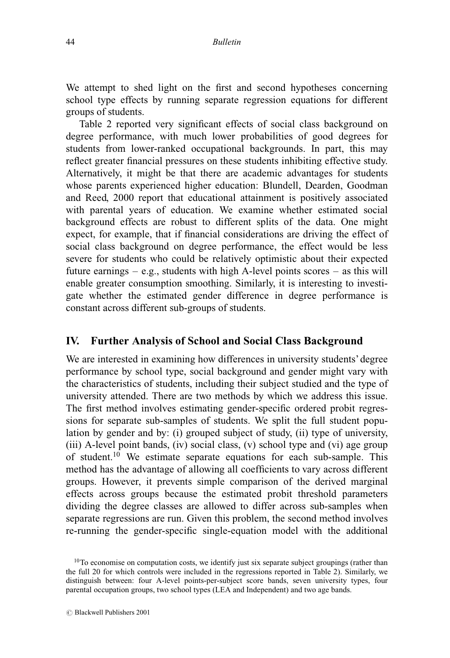We attempt to shed light on the first and second hypotheses concerning school type effects by running separate regression equations for different groups of students.

Table 2 reported very significant effects of social class background on degree performance, with much lower probabilities of good degrees for students from lower-ranked occupational backgrounds. In part, this may reflect greater financial pressures on these students inhibiting effective study. Alternatively, it might be that there are academic advantages for students whose parents experienced higher education: Blundell, Dearden, Goodman and Reed, 2000 report that educational attainment is positively associated with parental years of education. We examine whether estimated social background effects are robust to different splits of the data. One might expect, for example, that if financial considerations are driving the effect of social class background on degree performance, the effect would be less severe for students who could be relatively optimistic about their expected future earnings  $-$  e.g., students with high A-level points scores  $-$  as this will enable greater consumption smoothing. Similarly, it is interesting to investigate whether the estimated gender difference in degree performance is constant across different sub-groups of students.

# IV. Further Analysis of School and Social Class Background

We are interested in examining how differences in university students' degree performance by school type, social background and gender might vary with the characteristics of students, including their subject studied and the type of university attended. There are two methods by which we address this issue. The first method involves estimating gender-specific ordered probit regressions for separate sub-samples of students. We split the full student population by gender and by: (i) grouped subject of study, (ii) type of university, (iii) A-level point bands, (iv) social class, (v) school type and (vi) age group of student.10 We estimate separate equations for each sub-sample. This method has the advantage of allowing all coefficients to vary across different groups. However, it prevents simple comparison of the derived marginal effects across groups because the estimated probit threshold parameters dividing the degree classes are allowed to differ across sub-samples when separate regressions are run. Given this problem, the second method involves re-running the gender-specific single-equation model with the additional

<sup>&</sup>lt;sup>10</sup>To economise on computation costs, we identify just six separate subject groupings (rather than the full 20 for which controls were included in the regressions reported in Table 2). Similarly, we distinguish between: four A-level points-per-subject score bands, seven university types, four parental occupation groups, two school types (LEA and Independent) and two age bands.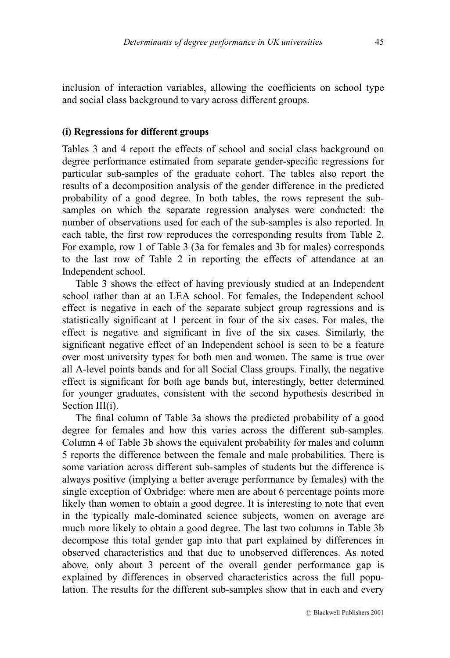inclusion of interaction variables, allowing the coefficients on school type and social class background to vary across different groups.

## (i) Regressions for different groups

Tables 3 and 4 report the effects of school and social class background on degree performance estimated from separate gender-specific regressions for particular sub-samples of the graduate cohort. The tables also report the results of a decomposition analysis of the gender difference in the predicted probability of a good degree. In both tables, the rows represent the subsamples on which the separate regression analyses were conducted: the number of observations used for each of the sub-samples is also reported. In each table, the first row reproduces the corresponding results from Table 2. For example, row 1 of Table 3 (3a for females and 3b for males) corresponds to the last row of Table 2 in reporting the effects of attendance at an Independent school.

Table 3 shows the effect of having previously studied at an Independent school rather than at an LEA school. For females, the Independent school effect is negative in each of the separate subject group regressions and is statistically significant at 1 percent in four of the six cases. For males, the effect is negative and significant in five of the six cases. Similarly, the significant negative effect of an Independent school is seen to be a feature over most university types for both men and women. The same is true over all A-level points bands and for all Social Class groups. Finally, the negative effect is significant for both age bands but, interestingly, better determined for younger graduates, consistent with the second hypothesis described in Section III(i).

The final column of Table 3a shows the predicted probability of a good degree for females and how this varies across the different sub-samples. Column 4 of Table 3b shows the equivalent probability for males and column 5 reports the difference between the female and male probabilities. There is some variation across different sub-samples of students but the difference is always positive (implying a better average performance by females) with the single exception of Oxbridge: where men are about 6 percentage points more likely than women to obtain a good degree. It is interesting to note that even in the typically male-dominated science subjects, women on average are much more likely to obtain a good degree. The last two columns in Table 3b decompose this total gender gap into that part explained by differences in observed characteristics and that due to unobserved differences. As noted above, only about 3 percent of the overall gender performance gap is explained by differences in observed characteristics across the full population. The results for the different sub-samples show that in each and every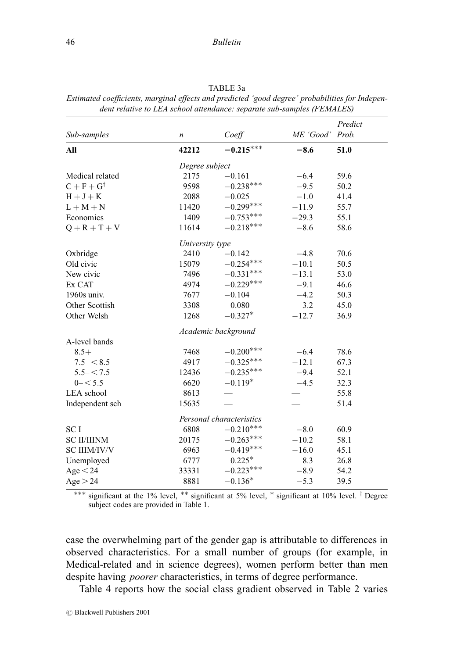| I<br>۰, | ٠<br>v.<br>٠ |
|---------|--------------|
|         | I<br>I<br>۰, |

|                       |                  |                          |                 | Predict |
|-----------------------|------------------|--------------------------|-----------------|---------|
| Sub-samples           | $\boldsymbol{n}$ | Coeff                    | ME 'Good' Prob. |         |
| All                   | 42212            | $-0.215***$              | $-8.6$          | 51.0    |
|                       | Degree subject   |                          |                 |         |
| Medical related       | 2175             | $-0.161$                 | $-6.4$          | 59.6    |
| $C + F + G^{\dagger}$ | 9598             | $-0.238***$              | $-9.5$          | 50.2    |
| $H+J+K$               | 2088             | $-0.025$                 | $-1.0$          | 41.4    |
| $L + M + N$           | 11420            | $-0.299***$              | $-11.9$         | 55.7    |
| Economics             | 1409             | $-0.753***$              | $-29.3$         | 55.1    |
| $Q + R + T + V$       | 11614            | $-0.218***$              | $-8.6$          | 58.6    |
|                       | University type  |                          |                 |         |
| Oxbridge              | 2410             | $-0.142$                 | $-4.8$          | 70.6    |
| Old civic             | 15079            | $-0.254***$              | $-10.1$         | 50.5    |
| New civic             | 7496             | $-0.331***$              | $-13.1$         | 53.0    |
| Ex CAT                | 4974             | $-0.229***$              | $-9.1$          | 46.6    |
| $1960s$ univ.         | 7677             | $-0.104$                 | $-4.2$          | 50.3    |
| Other Scottish        | 3308             | 0.080                    | 3.2             | 45.0    |
| Other Welsh           | 1268             | $-0.327*$                | $-12.7$         | 36.9    |
|                       |                  | Academic background      |                 |         |
| A-level bands         |                  |                          |                 |         |
| $8.5+$                | 7468             | $-0.200***$              | $-6.4$          | 78.6    |
| $7.5 - < 8.5$         | 4917             | $-0.325***$              | $-12.1$         | 67.3    |
| $5.5 - 7.5$           | 12436            | $-0.235***$              | $-9.4$          | 52.1    |
| $0 - 5.5$             | 6620             | $-0.119*$                | $-4.5$          | 32.3    |
| LEA school            | 8613             |                          |                 | 55.8    |
| Independent sch       | 15635            |                          |                 | 51.4    |
|                       |                  | Personal characteristics |                 |         |
| SC <sub>I</sub>       | 6808             | $-0.210***$              | $-8.0$          | 60.9    |
| <b>SC II/IIINM</b>    | 20175            | $-0.263***$              | $-10.2$         | 58.1    |
| <b>SC IIIM/IV/V</b>   | 6963             | $-0.419***$              | $-16.0$         | 45.1    |
| Unemployed            | 6777             | $0.225*$                 | 8.3             | 26.8    |
| Age < 24              | 33331            | $-0.223***$              | $-8.9$          | 54.2    |
| Age > 24              | 8881             | $-0.136*$                | $-5.3$          | 39.5    |
|                       |                  |                          |                 |         |

TABLE 3a Estimated coefficients, marginal effects and predicted 'good degree' probabilities for Independent relative to LEA school attendance: separate sub-samples (FEMALES)

case the overwhelming part of the gender gap is attributable to differences in observed characteristics. For a small number of groups (for example, in Medical-related and in science degrees), women perform better than men despite having *poorer* characteristics, in terms of degree performance.

Table 4 reports how the social class gradient observed in Table 2 varies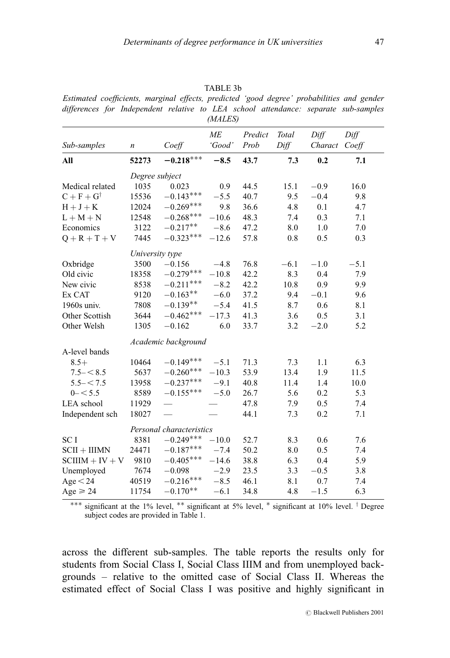| TABLE 3b |  |  |
|----------|--|--|
|----------|--|--|

Estimated coefficients, marginal effects, predicted 'good degree' probabilities and gender differences for Independent relative to LEA school attendance: separate sub-samples (MALES)

|                       |                  |                          | МE      | Predict | <b>Total</b> | Diff    | Diff   |
|-----------------------|------------------|--------------------------|---------|---------|--------------|---------|--------|
| Sub-samples           | $\boldsymbol{n}$ | Coeff                    | 'Good'  | Prob    | Diff         | Charact | Coeff  |
| All                   | 52273            | $-0.218***$              | $-8.5$  | 43.7    | 7.3          | 0.2     | 7.1    |
|                       | Degree subject   |                          |         |         |              |         |        |
| Medical related       | 1035             | 0.023                    | 0.9     | 44.5    | 15.1         | $-0.9$  | 16.0   |
| $C + F + G^{\dagger}$ | 15536            | $-0.143***$              | $-5.5$  | 40.7    | 9.5          | $-0.4$  | 9.8    |
| $H+J+K$               | 12024            | $-0.269***$              | 9.8     | 36.6    | 4.8          | 0.1     | 4.7    |
| $L+M+N$               | 12548            | $-0.268***$              | $-10.6$ | 48.3    | 7.4          | 0.3     | 7.1    |
| Economics             | 3122             | $-0.217**$               | $-8.6$  | 47.2    | 8.0          | 1.0     | 7.0    |
| $Q + R + T + V$       | 7445             | $-0.323***$              | $-12.6$ | 57.8    | 0.8          | 0.5     | 0.3    |
|                       | University type  |                          |         |         |              |         |        |
| Oxbridge              | 3500             | $-0.156$                 | $-4.8$  | 76.8    | $-6.1$       | $-1.0$  | $-5.1$ |
| Old civic             | 18358            | $-0.279***$              | $-10.8$ | 42.2    | 8.3          | 0.4     | 7.9    |
| New civic             | 8538             | $-0.211***$              | $-8.2$  | 42.2    | 10.8         | 0.9     | 9.9    |
| Ex CAT                | 9120             | $-0.163**$               | $-6.0$  | 37.2    | 9.4          | $-0.1$  | 9.6    |
| 1960s univ.           | 7808             | $-0.139**$               | $-5.4$  | 41.5    | 8.7          | 0.6     | 8.1    |
| Other Scottish        | 3644             | $-0.462***$              | $-17.3$ | 41.3    | 3.6          | 0.5     | 3.1    |
| Other Welsh           | 1305             | $-0.162$                 | 6.0     | 33.7    | 3.2          | $-2.0$  | 5.2    |
|                       |                  | Academic background      |         |         |              |         |        |
| A-level bands         |                  |                          |         |         |              |         |        |
| $8.5+$                | 10464            | $-0.149***$              | $-5.1$  | 71.3    | 7.3          | 1.1     | 6.3    |
| $7.5 - < 8.5$         | 5637             | $-0.260***$              | $-10.3$ | 53.9    | 13.4         | 1.9     | 11.5   |
| $5.5 - 7.5$           | 13958            | $-0.237***$              | $-9.1$  | 40.8    | 11.4         | 1.4     | 10.0   |
| $0 - 5.5$             | 8589             | $-0.155***$              | $-5.0$  | 26.7    | 5.6          | 0.2     | 5.3    |
| LEA school            | 11929            |                          |         | 47.8    | 7.9          | 0.5     | 7.4    |
| Independent sch       | 18027            |                          |         | 44.1    | 7.3          | 0.2     | 7.1    |
|                       |                  | Personal characteristics |         |         |              |         |        |
| SC I                  | 8381             | $-0.249***$              | $-10.0$ | 52.7    | 8.3          | 0.6     | 7.6    |
| $SCII + IIIMN$        | 24471            | $-0.187***$              | $-7.4$  | 50.2    | 8.0          | 0.5     | 7.4    |
| $SCIIIM + IV + V$     | 9810             | $-0.405***$              | $-14.6$ | 38.8    | 6.3          | 0.4     | 5.9    |
| Unemployed            | 7674             | $-0.098$                 | $-2.9$  | 23.5    | 3.3          | $-0.5$  | 3.8    |
| Age < 24              | 40519            | $-0.216***$              | $-8.5$  | 46.1    | 8.1          | 0.7     | 7.4    |
| Age $\geq 24$         | 11754            | $-0.170**$               | $-6.1$  | 34.8    | 4.8          | $-1.5$  | 6.3    |

across the different sub-samples. The table reports the results only for students from Social Class I, Social Class IIIM and from unemployed backgrounds - relative to the omitted case of Social Class II. Whereas the estimated effect of Social Class I was positive and highly significant in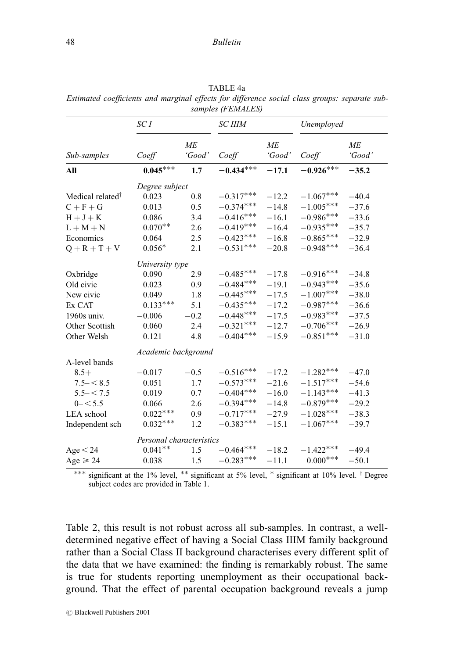|                              | SCI                      |              | <b>SC IIIM</b> |              | Unemployed  |              |  |
|------------------------------|--------------------------|--------------|----------------|--------------|-------------|--------------|--|
| Sub-samples                  | Coeff                    | МE<br>'Good' | Coeff          | МE<br>'Good' | Coeff       | МE<br>'Good' |  |
| All                          | $0.045***$               | 1.7          | $-0.434***$    | $-17.1$      | $-0.926***$ | $-35.2$      |  |
|                              | Degree subject           |              |                |              |             |              |  |
| Medical related <sup>†</sup> | 0.023                    | 0.8          | $-0.317***$    | $-12.2$      | $-1.067***$ | $-40.4$      |  |
| $C + F + G$                  | 0.013                    | 0.5          | $-0.374***$    | $-14.8$      | $-1.005***$ | $-37.6$      |  |
| $H+J+K$                      | 0.086                    | 3.4          | $-0.416***$    | $-16.1$      | $-0.986***$ | $-33.6$      |  |
| $L+M+N$                      | $0.070**$                | 2.6          | $-0.419***$    | $-16.4$      | $-0.935***$ | $-35.7$      |  |
| Economics                    | 0.064                    | 2.5          | $-0.423***$    | $-16.8$      | $-0.865***$ | $-32.9$      |  |
| $Q + R + T + V$              | $0.056*$                 | 2.1          | $-0.531***$    | $-20.8$      | $-0.948***$ | $-36.4$      |  |
|                              | University type          |              |                |              |             |              |  |
| Oxbridge                     | 0.090                    | 2.9          | $-0.485***$    | $-17.8$      | $-0.916***$ | $-34.8$      |  |
| Old civic                    | 0.023                    | 0.9          | $-0.484***$    | $-19.1$      | $-0.943***$ | $-35.6$      |  |
| New civic                    | 0.049                    | 1.8          | $-0.445***$    | $-17.5$      | $-1.007***$ | $-38.0$      |  |
| Ex CAT                       | $0.133***$               | 5.1          | $-0.435***$    | $-17.2$      | $-0.987***$ | $-36.6$      |  |
| $1960s$ univ.                | $-0.006$                 | $-0.2$       | $-0.448***$    | $-17.5$      | $-0.983***$ | $-37.5$      |  |
| Other Scottish               | 0.060                    | 2.4          | $-0.321***$    | $-12.7$      | $-0.706***$ | $-26.9$      |  |
| Other Welsh                  | 0.121                    | 4.8          | $-0.404***$    | $-15.9$      | $-0.851***$ | $-31.0$      |  |
|                              | Academic background      |              |                |              |             |              |  |
| A-level bands                |                          |              |                |              |             |              |  |
| $8.5+$                       | $-0.017$                 | $-0.5$       | $-0.516***$    | $-17.2$      | $-1.282***$ | $-47.0$      |  |
| $7.5 - < 8.5$                | 0.051                    | 1.7          | $-0.573***$    | $-21.6$      | $-1.517***$ | $-54.6$      |  |
| $5.5 - 7.5$                  | 0.019                    | 0.7          | $-0.404***$    | $-16.0$      | $-1.143***$ | $-41.3$      |  |
| $0 - 5.5$                    | 0.066                    | 2.6          | $-0.394***$    | $-14.8$      | $-0.879***$ | $-29.2$      |  |
| LEA school                   | $0.022***$               | 0.9          | $-0.717***$    | $-27.9$      | $-1.028***$ | $-38.3$      |  |
| Independent sch              | $0.032***$               | 1.2          | $-0.383***$    | $-15.1$      | $-1.067***$ | $-39.7$      |  |
|                              | Personal characteristics |              |                |              |             |              |  |
| Age < 24                     | $0.041**$                | 1.5          | $-0.464***$    | $-18.2$      | $-1.422***$ | $-49.4$      |  |
| Age $\geq 24$                | 0.038                    | 1.5          | $-0.283***$    | $-11.1$      | $0.000***$  | $-50.1$      |  |
|                              |                          |              |                |              |             |              |  |

TABLE 4a Estimated coefficients and marginal effects for difference social class groups: separate subsamples (FEMALES)

Table 2, this result is not robust across all sub-samples. In contrast, a welldetermined negative effect of having a Social Class IIIM family background rather than a Social Class II background characterises every different split of the data that we have examined: the finding is remarkably robust. The same is true for students reporting unemployment as their occupational background. That the effect of parental occupation background reveals a jump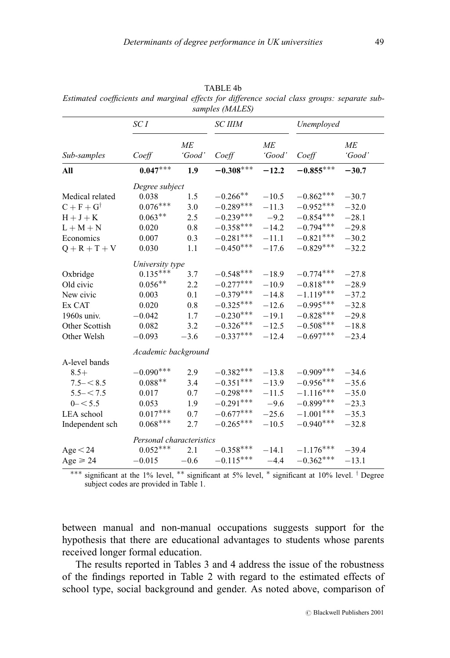|                                    | SCI                      |                     | <b>SC IIIM</b> |                     | Unemployed  |                     |  |
|------------------------------------|--------------------------|---------------------|----------------|---------------------|-------------|---------------------|--|
| Sub-samples                        | Coeff                    | <b>ME</b><br>'Good' | Coeff          | <b>ME</b><br>'Good' | Coeff       | <b>ME</b><br>'Good' |  |
| All                                | $0.047***$               | 1.9                 | $-0.308***$    | $-12.2$             | $-0.855***$ | $-30.7$             |  |
|                                    | Degree subject           |                     |                |                     |             |                     |  |
| Medical related                    | 0.038                    | 1.5                 | $-0.266**$     | $-10.5$             | $-0.862***$ | $-30.7$             |  |
| $C + F + G^{\dagger}$              | $0.076***$               | 3.0                 | $-0.289***$    | $-11.3$             | $-0.952***$ | $-32.0$             |  |
| $H+J+K$                            | $0.063**$                | 2.5                 | $-0.239***$    | $-9.2$              | $-0.854***$ | $-28.1$             |  |
| $\mathbf{L}+\mathbf{M}+\mathbf{N}$ | 0.020                    | 0.8                 | $-0.358***$    | $-14.2$             | $-0.794***$ | $-29.8$             |  |
| Economics                          | 0.007                    | 0.3                 | $-0.281***$    | $-11.1$             | $-0.821***$ | $-30.2$             |  |
| $Q + R + T + V$                    | 0.030                    | 1.1                 | $-0.450***$    | $-17.6$             | $-0.829***$ | $-32.2$             |  |
|                                    | University type          |                     |                |                     |             |                     |  |
| Oxbridge                           | $0.135***$               | 3.7                 | $-0.548***$    | $-18.9$             | $-0.774***$ | $-27.8$             |  |
| Old civic                          | $0.056**$                | 2.2                 | $-0.277***$    | $-10.9$             | $-0.818***$ | $-28.9$             |  |
| New civic                          | 0.003                    | 0.1                 | $-0.379***$    | $-14.8$             | $-1.119***$ | $-37.2$             |  |
| Ex CAT                             | 0.020                    | 0.8                 | $-0.325***$    | $-12.6$             | $-0.995***$ | $-32.8$             |  |
| $1960s$ univ.                      | $-0.042$                 | 1.7                 | $-0.230***$    | $-19.1$             | $-0.828***$ | $-29.8$             |  |
| Other Scottish                     | 0.082                    | 3.2                 | $-0.326***$    | $-12.5$             | $-0.508***$ | $-18.8$             |  |
| Other Welsh                        | $-0.093$                 | $-3.6$              | $-0.337***$    | $-12.4$             | $-0.697***$ | $-23.4$             |  |
|                                    | Academic background      |                     |                |                     |             |                     |  |
| A-level bands                      |                          |                     |                |                     |             |                     |  |
| $8.5+$                             | $-0.090***$              | 2.9                 | $-0.382***$    | $-13.8$             | $-0.909***$ | $-34.6$             |  |
| $7.5 - < 8.5$                      | $0.088**$                | 3.4                 | $-0.351***$    | $-13.9$             | $-0.956***$ | $-35.6$             |  |
| $5.5 - 7.5$                        | 0.017                    | 0.7                 | $-0.298***$    | $-11.5$             | $-1.116***$ | $-35.0$             |  |
| $0 - 5.5$                          | 0.053                    | 1.9                 | $-0.291***$    | $-9.6$              | $-0.899***$ | $-23.3$             |  |
| LEA school                         | $0.017***$               | 0.7                 | $-0.677***$    | $-25.6$             | $-1.001***$ | $-35.3$             |  |
| Independent sch                    | $0.068***$               | 2.7                 | $-0.265***$    | $-10.5$             | $-0.940***$ | $-32.8$             |  |
|                                    | Personal characteristics |                     |                |                     |             |                     |  |
| Age < 24                           | $0.052***$               | 2.1                 | $-0.358***$    | $-14.1$             | $-1.176***$ | $-39.4$             |  |
| Age $\geq 24$                      | $-0.015$                 | $-0.6$              | $-0.115***$    | $-4.4$              | $-0.362***$ | $-13.1$             |  |

TABLE 4b Estimated coefficients and marginal effects for difference social class groups: separate subsamples (MALES)

between manual and non-manual occupations suggests support for the hypothesis that there are educational advantages to students whose parents received longer formal education.

The results reported in Tables 3 and 4 address the issue of the robustness of the findings reported in Table 2 with regard to the estimated effects of school type, social background and gender. As noted above, comparison of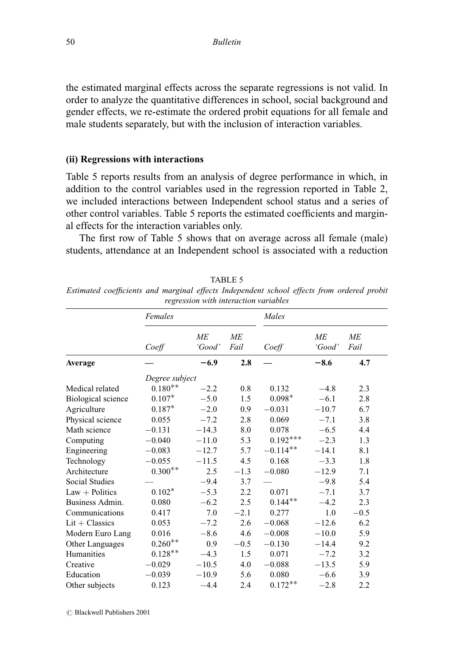the estimated marginal effects across the separate regressions is not valid. In order to analyze the quantitative differences in school, social background and gender effects, we re-estimate the ordered probit equations for all female and male students separately, but with the inclusion of interaction variables.

## (ii) Regressions with interactions

Table 5 reports results from an analysis of degree performance in which, in addition to the control variables used in the regression reported in Table 2, we included interactions between Independent school status and a series of other control variables. Table 5 reports the estimated coefficients and marginal effects for the interaction variables only.

The first row of Table 5 shows that on average across all female (male) students, attendance at an Independent school is associated with a reduction

| TADLE J                               |  |  |  |  |                                                                                            |  |  |  |  |  |
|---------------------------------------|--|--|--|--|--------------------------------------------------------------------------------------------|--|--|--|--|--|
|                                       |  |  |  |  | Estimated coefficients and marginal effects Independent school effects from ordered probit |  |  |  |  |  |
| regression with interaction variables |  |  |  |  |                                                                                            |  |  |  |  |  |

|                       | Females        |              |            | Males      |              |            |
|-----------------------|----------------|--------------|------------|------------|--------------|------------|
|                       | Coeff          | МE<br>'Good' | МE<br>Fail | Coeff      | МE<br>'Good' | МE<br>Fail |
| Average               |                | $-6.9$       | 2.8        |            | $-8.6$       | 4.7        |
|                       | Degree subject |              |            |            |              |            |
| Medical related       | $0.180**$      | $-2.2$       | 0.8        | 0.132      | $-4.8$       | 2.3        |
| Biological science    | $0.107*$       | $-5.0$       | 1.5        | $0.098*$   | $-6.1$       | 2.8        |
| Agriculture           | $0.187*$       | $-2.0$       | 0.9        | $-0.031$   | $-10.7$      | 6.7        |
| Physical science      | 0.055          | $-7.2$       | 2.8        | 0.069      | $-7.1$       | 3.8        |
| Math science          | $-0.131$       | $-14.3$      | 8.0        | 0.078      | $-6.5$       | 4.4        |
| Computing             | $-0.040$       | $-11.0$      | 5.3        | $0.192***$ | $-2.3$       | 1.3        |
| Engineering           | $-0.083$       | $-12.7$      | 5.7        | $-0.114**$ | $-14.1$      | 8.1        |
| Technology            | $-0.055$       | $-11.5$      | 4.5        | 0.168      | $-3.3$       | 1.8        |
| Architecture          | $0.300**$      | 2.5          | $-1.3$     | $-0.080$   | $-12.9$      | 7.1        |
| <b>Social Studies</b> |                | $-9.4$       | 3.7        |            | $-9.8$       | 5.4        |
| $Law + Politics$      | $0.102*$       | $-5.3$       | 2.2        | 0.071      | $-7.1$       | 3.7        |
| Business Admin.       | 0.080          | $-6.2$       | 2.5        | $0.144**$  | $-4.2$       | 2.3        |
| Communications        | 0.417          | 7.0          | $-2.1$     | 0.277      | 1.0          | $-0.5$     |
| $Lit + Classics$      | 0.053          | $-7.2$       | 2.6        | $-0.068$   | $-12.6$      | 6.2        |
| Modern Euro Lang      | 0.016          | $-8.6$       | 4.6        | $-0.008$   | $-10.0$      | 5.9        |
| Other Languages       | $0.260**$      | 0.9          | $-0.5$     | $-0.130$   | $-14.4$      | 9.2        |
| Humanities            | $0.128**$      | $-4.3$       | 1.5        | 0.071      | $-7.2$       | 3.2        |
| Creative              | $-0.029$       | $-10.5$      | 4.0        | $-0.088$   | $-13.5$      | 5.9        |
| Education             | $-0.039$       | $-10.9$      | 5.6        | 0.080      | $-6.6$       | 3.9        |
| Other subjects        | 0.123          | $-4.4$       | 2.4        | $0.172**$  | $-2.8$       | 2.2        |

TABLE 5

 $\odot$  Blackwell Publishers 2001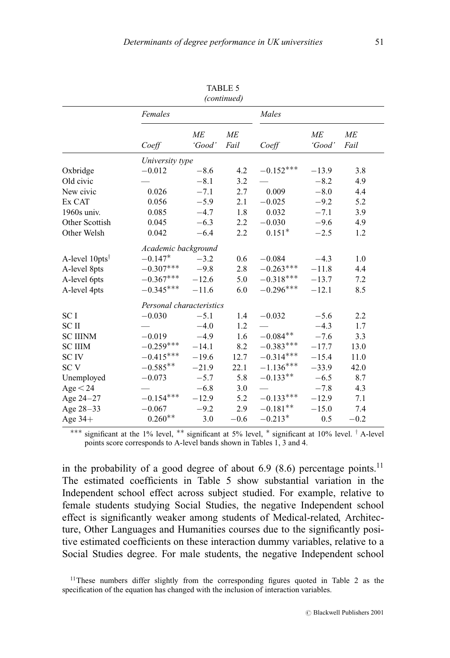|                            |                          |           | <b>TABLE 5</b> |             |         |        |
|----------------------------|--------------------------|-----------|----------------|-------------|---------|--------|
|                            |                          |           | (continued)    |             |         |        |
|                            | Females                  |           |                | Males       |         |        |
|                            |                          | <b>ME</b> | <b>ME</b>      |             | МE      | МE     |
|                            | Coeff                    | 'Good'    | Fail           | Coeff       | 'Good'  | Fail   |
|                            | University type          |           |                |             |         |        |
| Oxbridge                   | $-0.012$                 | $-8.6$    | 4.2            | $-0.152***$ | $-13.9$ | 3.8    |
| Old civic                  |                          | $-8.1$    | 3.2            |             | $-8.2$  | 4.9    |
| New civic                  | 0.026                    | $-7.1$    | 2.7            | 0.009       | $-8.0$  | 4.4    |
| Ex CAT                     | 0.056                    | $-5.9$    | 2.1            | $-0.025$    | $-9.2$  | 5.2    |
| 1960s univ.                | 0.085                    | $-4.7$    | 1.8            | 0.032       | $-7.1$  | 3.9    |
| Other Scottish             | 0.045                    | $-6.3$    | 2.2            | $-0.030$    | $-9.6$  | 4.9    |
| Other Welsh                | 0.042                    | $-6.4$    | 2.2            | $0.151*$    | $-2.5$  | 1.2    |
|                            | Academic background      |           |                |             |         |        |
| A-level 10pts <sup>†</sup> | $-0.147*$                | $-3.2$    | 0.6            | $-0.084$    | $-4.3$  | 1.0    |
| A-level 8pts               | $-0.307***$              | $-9.8$    | 2.8            | $-0.263***$ | $-11.8$ | 4.4    |
| A-level 6pts               | $-0.367***$              | $-12.6$   | 5.0            | $-0.318***$ | $-13.7$ | 7.2    |
| A-level 4pts               | $-0.345***$              | $-11.6$   | 6.0            | $-0.296***$ | $-12.1$ | 8.5    |
|                            | Personal characteristics |           |                |             |         |        |
| <b>SCI</b>                 | $-0.030$                 | $-5.1$    | 1.4            | $-0.032$    | $-5.6$  | 2.2    |
| <b>SCII</b>                |                          | $-4.0$    | 1.2            |             | $-4.3$  | 1.7    |
| <b>SC IIINM</b>            | $-0.019$                 | $-4.9$    | 1.6            | $-0.084**$  | $-7.6$  | 3.3    |
| <b>SC IIIM</b>             | $-0.259***$              | $-14.1$   | 8.2            | $-0.383***$ | $-17.7$ | 13.0   |
| <b>SCIV</b>                | $-0.415***$              | $-19.6$   | 12.7           | $-0.314***$ | $-15.4$ | 11.0   |
| <b>SCV</b>                 | $-0.585**$               | $-21.9$   | 22.1           | $-1.136***$ | $-33.9$ | 42.0   |
| Unemployed                 | $-0.073$                 | $-5.7$    | 5.8            | $-0.133**$  | $-6.5$  | 8.7    |
| Age < 24                   |                          | $-6.8$    | 3.0            |             | $-7.8$  | 4.3    |
| Age 24-27                  | $-0.154***$              | $-12.9$   | 5.2            | $-0.133***$ | $-12.9$ | 7.1    |
| Age 28-33                  | $-0.067$                 | $-9.2$    | 2.9            | $-0.181**$  | $-15.0$ | 7.4    |
| Age $34+$                  | $0.260**$                | 3.0       | $-0.6$         | $-0.213*$   | 0.5     | $-0.2$ |

\*\*\* significant at the 1% level, \*\* significant at 5% level, \* significant at 10% level.  $\dagger$  A-level points score corresponds to A-level bands shown in Tables 1, 3 and 4.

in the probability of a good degree of about 6.9 (8.6) percentage points.<sup>11</sup> The estimated coefficients in Table 5 show substantial variation in the Independent school effect across subject studied. For example, relative to female students studying Social Studies, the negative Independent school effect is significantly weaker among students of Medical-related, Architecture, Other Languages and Humanities courses due to the significantly positive estimated coefficients on these interaction dummy variables, relative to a Social Studies degree. For male students, the negative Independent school

 $11$ These numbers differ slightly from the corresponding figures quoted in Table 2 as the specification of the equation has changed with the inclusion of interaction variables.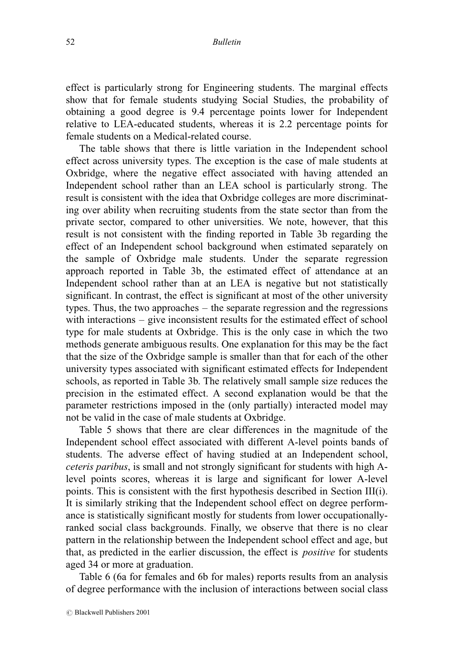effect is particularly strong for Engineering students. The marginal effects show that for female students studying Social Studies, the probability of obtaining a good degree is 9.4 percentage points lower for Independent relative to LEA-educated students, whereas it is 2.2 percentage points for female students on a Medical-related course.

The table shows that there is little variation in the Independent school effect across university types. The exception is the case of male students at Oxbridge, where the negative effect associated with having attended an Independent school rather than an LEA school is particularly strong. The result is consistent with the idea that Oxbridge colleges are more discriminating over ability when recruiting students from the state sector than from the private sector, compared to other universities. We note, however, that this result is not consistent with the finding reported in Table 3b regarding the effect of an Independent school background when estimated separately on the sample of Oxbridge male students. Under the separate regression approach reported in Table 3b, the estimated effect of attendance at an Independent school rather than at an LEA is negative but not statistically significant. In contrast, the effect is significant at most of the other university types. Thus, the two approaches  $-\theta$  the separate regression and the regressions with interactions  $-\text{ give inconsistent results for the estimated effect of school}$ type for male students at Oxbridge. This is the only case in which the two methods generate ambiguous results. One explanation for this may be the fact that the size of the Oxbridge sample is smaller than that for each of the other university types associated with significant estimated effects for Independent schools, as reported in Table 3b. The relatively small sample size reduces the precision in the estimated effect. A second explanation would be that the parameter restrictions imposed in the (only partially) interacted model may not be valid in the case of male students at Oxbridge.

Table 5 shows that there are clear differences in the magnitude of the Independent school effect associated with different A-level points bands of students. The adverse effect of having studied at an Independent school, ceteris paribus, is small and not strongly significant for students with high Alevel points scores, whereas it is large and significant for lower A-level points. This is consistent with the first hypothesis described in Section III(i). It is similarly striking that the Independent school effect on degree performance is statistically significant mostly for students from lower occupationallyranked social class backgrounds. Finally, we observe that there is no clear pattern in the relationship between the Independent school effect and age, but that, as predicted in the earlier discussion, the effect is *positive* for students aged 34 or more at graduation.

Table 6 (6a for females and 6b for males) reports results from an analysis of degree performance with the inclusion of interactions between social class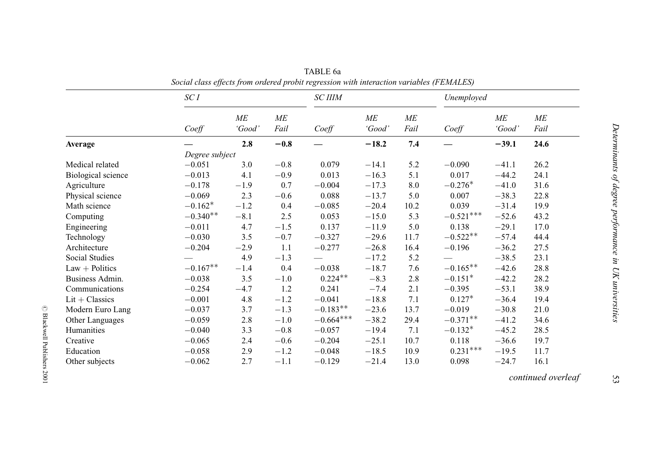|                           | SCI            |                    |                  | <b>SC IIIM</b> |                    |                  | Unemployed  |                    |                    |
|---------------------------|----------------|--------------------|------------------|----------------|--------------------|------------------|-------------|--------------------|--------------------|
|                           | Coeff          | $\it ME$<br>'Good' | $\it ME$<br>Fail | Coeff          | $\it ME$<br>'Good' | $\it ME$<br>Fail | Coeff       | $\it ME$<br>'Good' | $\it ME$<br>Fail   |
| Average                   |                | 2.8                | $-0.8$           |                | $-18.2$            | 7.4              |             | $-39.1$            | 24.6               |
|                           | Degree subject |                    |                  |                |                    |                  |             |                    |                    |
| Medical related           | $-0.051$       | 3.0                | $-0.8$           | 0.079          | $-14.1$            | 5.2              | $-0.090$    | $-41.1$            | 26.2               |
| <b>Biological science</b> | $-0.013$       | 4.1                | $-0.9$           | 0.013          | $-16.3$            | 5.1              | 0.017       | $-44.2$            | 24.1               |
| Agriculture               | $-0.178$       | $-1.9$             | 0.7              | $-0.004$       | $-17.3$            | $8.0\,$          | $-0.276*$   | $-41.0$            | 31.6               |
| Physical science          | $-0.069$       | 2.3                | $-0.6$           | 0.088          | $-13.7$            | 5.0              | 0.007       | $-38.3$            | 22.8               |
| Math science              | $-0.162*$      | $-1.2$             | 0.4              | $-0.085$       | $-20.4$            | 10.2             | 0.039       | $-31.4$            | 19.9               |
| Computing                 | $-0.340**$     | $-8.1$             | 2.5              | 0.053          | $-15.0$            | 5.3              | $-0.521***$ | $-52.6$            | 43.2               |
| Engineering               | $-0.011$       | 4.7                | $-1.5$           | 0.137          | $-11.9$            | 5.0              | 0.138       | $-29.1$            | 17.0               |
| Technology                | $-0.030$       | 3.5                | $-0.7$           | $-0.327$       | $-29.6$            | 11.7             | $-0.522**$  | $-57.4$            | 44.4               |
| Architecture              | $-0.204$       | $-2.9$             | 1.1              | $-0.277$       | $-26.8$            | 16.4             | $-0.196$    | $-36.2$            | 27.5               |
| <b>Social Studies</b>     |                | 4.9                | $-1.3$           |                | $-17.2$            | 5.2              |             | $-38.5$            | 23.1               |
| $Law + Politics$          | $-0.167**$     | $-1.4$             | 0.4              | $-0.038$       | $-18.7$            | 7.6              | $-0.165***$ | $-42.6$            | 28.8               |
| Business Admin.           | $-0.038$       | 3.5                | $-1.0$           | $0.224***$     | $-8.3$             | 2.8              | $-0.151*$   | $-42.2$            | 28.2               |
| Communications            | $-0.254$       | $-4.7$             | 1.2              | 0.241          | $-7.4$             | 2.1              | $-0.395$    | $-53.1$            | 38.9               |
| $Lit + Classics$          | $-0.001$       | 4.8                | $-1.2$           | $-0.041$       | $-18.8$            | 7.1              | $0.127*$    | $-36.4$            | 19.4               |
| Modern Euro Lang          | $-0.037$       | 3.7                | $-1.3$           | $-0.183**$     | $-23.6$            | 13.7             | $-0.019$    | $-30.8$            | 21.0               |
| Other Languages           | $-0.059$       | 2.8                | $-1.0$           | $-0.664***$    | $-38.2$            | 29.4             | $-0.371**$  | $-41.2$            | 34.6               |
| Humanities                | $-0.040$       | 3.3                | $-0.8$           | $-0.057$       | $-19.4$            | 7.1              | $-0.132*$   | $-45.2$            | 28.5               |
| Creative                  | $-0.065$       | 2.4                | $-0.6$           | $-0.204$       | $-25.1$            | 10.7             | 0.118       | $-36.6$            | 19.7               |
| Education                 | $-0.058$       | 2.9                | $-1.2$           | $-0.048$       | $-18.5$            | 10.9             | $0.231***$  | $-19.5$            | 11.7               |
| Other subjects            | $-0.062$       | 2.7                | $-1.1$           | $-0.129$       | $-21.4$            | 13.0             | 0.098       | $-24.7$            | 16.1               |
|                           |                |                    |                  |                |                    |                  |             |                    | continued overleaf |

TABLE 6a Social class effects from ordered probit regression with interaction variables (FEMALES)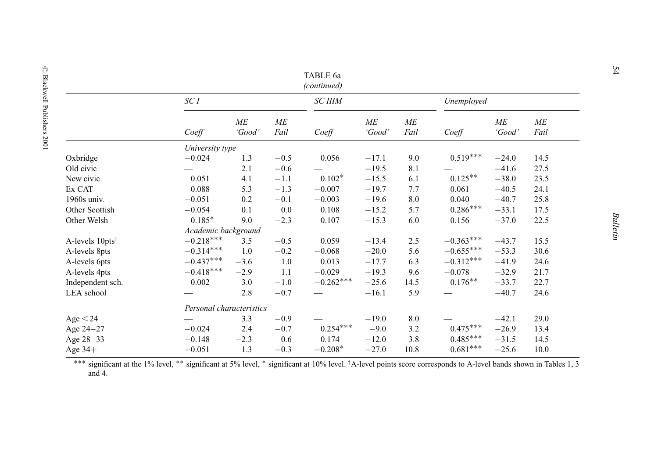|                            | $\cal SC$ $\cal I$       |                    |                  | <b>SC IIIM</b> |                    |                       | Unemployed  |                    |                  |  |
|----------------------------|--------------------------|--------------------|------------------|----------------|--------------------|-----------------------|-------------|--------------------|------------------|--|
|                            | Coeff                    | $\it ME$<br>'Good' | $\it ME$<br>Fail | Coeff          | $\it ME$<br>'Good' | $\mathit{ME}$<br>Fail | Coeff       | $\it ME$<br>'Good' | $\it ME$<br>Fail |  |
|                            | University type          |                    |                  |                |                    |                       |             |                    |                  |  |
| Oxbridge                   | $-0.024$                 | 1.3                | $-0.5$           | 0.056          | $-17.1$            | 9.0                   | $0.519***$  | $-24.0$            | 14.5             |  |
| Old civic                  |                          | 2.1                | $-0.6$           |                | $-19.5$            | 8.1                   |             | $-41.6$            | 27.5             |  |
| New civic                  | 0.051                    | 4.1                | $-1.1$           | $0.102*$       | $-15.5$            | 6.1                   | $0.125***$  | $-38.0$            | 23.5             |  |
| Ex CAT                     | 0.088                    | 5.3                | $-1.3$           | $-0.007$       | $-19.7$            | 7.7                   | 0.061       | $-40.5$            | 24.1             |  |
| $1960s$ univ.              | $-0.051$                 | 0.2                | $-0.1$           | $-0.003$       | $-19.6$            | 8.0                   | 0.040       | $-40.7$            | 25.8             |  |
| Other Scottish             | $-0.054$                 | 0.1                | 0.0              | 0.108          | $-15.2$            | 5.7                   | $0.286***$  | $-33.1$            | 17.5             |  |
| Other Welsh                | $0.185*$                 | 9.0                | $-2.3$           | 0.107          | $-15.3$            | 6.0                   | 0.156       | $-37.0$            | 22.5             |  |
|                            | Academic background      |                    |                  |                |                    |                       |             |                    |                  |  |
| A-levels $10pts^{\dagger}$ | $-0.218***$              | 3.5                | $-0.5$           | 0.059          | $-13.4$            | 2.5                   | $-0.363***$ | $-43.7$            | 15.5             |  |
| A-levels 8pts              | $-0.314***$              | $1.0\,$            | $-0.2$           | $-0.068$       | $-20.0$            | 5.6                   | $-0.655***$ | $-53.3$            | 30.6             |  |
| A-levels 6pts              | $-0.437***$              | $-3.6$             | 1.0              | 0.013          | $-17.7$            | 6.3                   | $-0.312***$ | $-41.9$            | 24.6             |  |
| A-levels 4pts              | $-0.418***$              | $-2.9$             | 1.1              | $-0.029$       | $-19.3$            | 9.6                   | $-0.078$    | $-32.9$            | 21.7             |  |
| Independent sch.           | 0.002                    | 3.0                | $-1.0\,$         | $-0.262***$    | $-25.6$            | 14.5                  | $0.176***$  | $-33.7$            | 22.7             |  |
| LEA school                 |                          | 2.8                | $-0.7$           |                | $-16.1$            | 5.9                   |             | $-40.7$            | 24.6             |  |
|                            | Personal characteristics |                    |                  |                |                    |                       |             |                    |                  |  |
| Age < 24                   |                          | 3.3                | $-0.9$           |                | $-19.0$            | $8.0\,$               |             | $-42.1$            | 29.0             |  |
| Age 24-27                  | $-0.024$                 | 2.4                | $-0.7$           | $0.254***$     | $-9.0$             | 3.2                   | $0.475***$  | $-26.9$            | 13.4             |  |
| Age $28 - 33$              | $-0.148$                 | $-2.3$             | 0.6              | 0.174          | $-12.0$            | 3.8                   | $0.485***$  | $-31.5$            | 14.5             |  |
| Age $34+$                  | $-0.051$                 | 1.3                | $-0.3$           | $-0.208*$      | $-27.0$            | 10.8                  | $0.681***$  | $-25.6$            | 10.0             |  |

\*\*\* significant at the 1% level, \*\* significant at 5% level, \* significant at 10% level. <sup>†</sup>A-level points score corresponds to A-level bands shown in Tables 1, 3 and 4.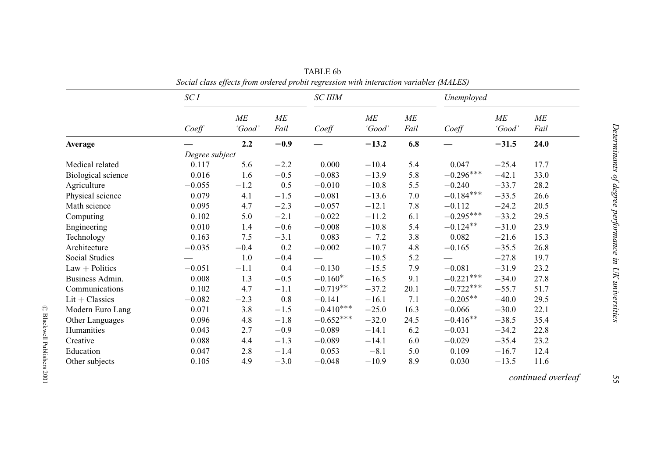|                       | SCI            |                    |            | <b>SC IIIM</b> |                    |                  | Unemployed  |                    |                    |  |
|-----------------------|----------------|--------------------|------------|----------------|--------------------|------------------|-------------|--------------------|--------------------|--|
|                       | Coeff          | $\it ME$<br>'Good' | ME<br>Fail | Coeff          | $\it ME$<br>'Good' | $\it ME$<br>Fail | Coeff       | $\it ME$<br>'Good' | $\it ME$<br>Fail   |  |
| Average               |                | 2.2                | $-0.9$     |                | $-13.2$            | 6.8              |             | $-31.5$            | 24.0               |  |
|                       | Degree subject |                    |            |                |                    |                  |             |                    |                    |  |
| Medical related       | 0.117          | 5.6                | $-2.2$     | 0.000          | $-10.4$            | 5.4              | 0.047       | $-25.4$            | 17.7               |  |
| Biological science    | 0.016          | 1.6                | $-0.5$     | $-0.083$       | $-13.9$            | 5.8              | $-0.296***$ | $-42.1$            | 33.0               |  |
| Agriculture           | $-0.055$       | $-1.2$             | 0.5        | $-0.010$       | $-10.8$            | 5.5              | $-0.240$    | $-33.7$            | 28.2               |  |
| Physical science      | 0.079          | 4.1                | $-1.5$     | $-0.081$       | $-13.6$            | 7.0              | $-0.184***$ | $-33.5$            | 26.6               |  |
| Math science          | 0.095          | 4.7                | $-2.3$     | $-0.057$       | $-12.1$            | 7.8              | $-0.112$    | $-24.2$            | 20.5               |  |
| Computing             | 0.102          | 5.0                | $-2.1$     | $-0.022$       | $-11.2$            | 6.1              | $-0.295***$ | $-33.2$            | 29.5               |  |
| Engineering           | 0.010          | 1.4                | $-0.6$     | $-0.008$       | $-10.8$            | 5.4              | $-0.124**$  | $-31.0$            | 23.9               |  |
| Technology            | 0.163          | 7.5                | $-3.1$     | 0.083          | $-7.2$             | 3.8              | 0.082       | $-21.6$            | 15.3               |  |
| Architecture          | $-0.035$       | $-0.4$             | 0.2        | $-0.002$       | $-10.7$            | 4.8              | $-0.165$    | $-35.5$            | 26.8               |  |
| <b>Social Studies</b> |                | 1.0                | $-0.4$     |                | $-10.5$            | 5.2              |             | $-27.8$            | 19.7               |  |
| $Law + Politics$      | $-0.051$       | $-1.1$             | 0.4        | $-0.130$       | $-15.5$            | 7.9              | $-0.081$    | $-31.9$            | 23.2               |  |
| Business Admin.       | 0.008          | 1.3                | $-0.5$     | $-0.160*$      | $-16.5$            | 9.1              | $-0.221***$ | $-34.0$            | 27.8               |  |
| Communications        | 0.102          | 4.7                | $-1.1$     | $-0.719**$     | $-37.2$            | 20.1             | $-0.722***$ | $-55.7$            | 51.7               |  |
| $Lit + Classics$      | $-0.082$       | $-2.3$             | 0.8        | $-0.141$       | $-16.1$            | 7.1              | $-0.205**$  | $-40.0$            | 29.5               |  |
| Modern Euro Lang      | 0.071          | 3.8                | $-1.5$     | $-0.410***$    | $-25.0$            | 16.3             | $-0.066$    | $-30.0$            | 22.1               |  |
| Other Languages       | 0.096          | 4.8                | $-1.8$     | $-0.652***$    | $-32.0$            | 24.5             | $-0.416**$  | $-38.5$            | 35.4               |  |
| Humanities            | 0.043          | 2.7                | $-0.9$     | $-0.089$       | $-14.1$            | 6.2              | $-0.031$    | $-34.2$            | 22.8               |  |
| Creative              | 0.088          | 4.4                | $-1.3$     | $-0.089$       | $-14.1$            | 6.0              | $-0.029$    | $-35.4$            | 23.2               |  |
| Education             | 0.047          | 2.8                | $-1.4$     | 0.053          | $-8.1$             | 5.0              | 0.109       | $-16.7$            | 12.4               |  |
| Other subjects        | 0.105          | 4.9                | $-3.0$     | $-0.048$       | $-10.9$            | 8.9              | 0.030       | $-13.5$            | 11.6               |  |
|                       |                |                    |            |                |                    |                  |             |                    | continued overleaf |  |

TABLE 6b Social class effects from ordered probit regression with interaction variables (MALES)

Determinants of degree performance in UK universities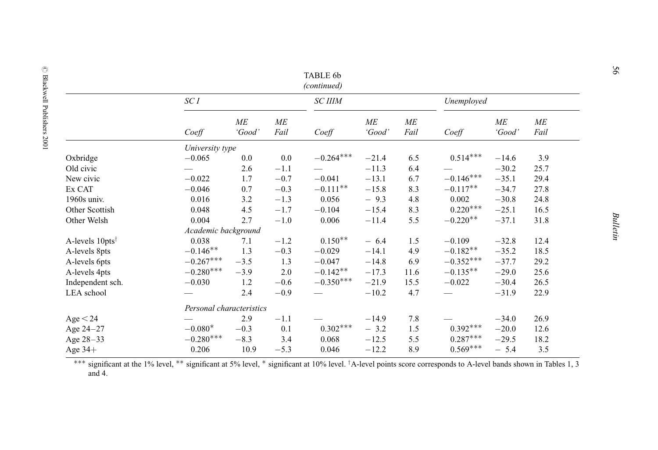|                            | SCI                      |              |            | <b>SC IIIM</b> |              |            | Unemployed  |              |            |  |
|----------------------------|--------------------------|--------------|------------|----------------|--------------|------------|-------------|--------------|------------|--|
|                            | Coeff                    | ME<br>'Good' | МE<br>Fail | Coeff          | ME<br>'Good' | ME<br>Fail | Coeff       | ME<br>'Good' | МE<br>Fail |  |
|                            | University type          |              |            |                |              |            |             |              |            |  |
| Oxbridge                   | $-0.065$                 | $0.0\,$      | $0.0\,$    | $-0.264***$    | $-21.4$      | 6.5        | $0.514***$  | $-14.6$      | 3.9        |  |
| Old civic                  |                          | 2.6          | $-1.1$     |                | $-11.3$      | 6.4        |             | $-30.2$      | 25.7       |  |
| New civic                  | $-0.022$                 | 1.7          | $-0.7$     | $-0.041$       | $-13.1$      | 6.7        | $-0.146***$ | $-35.1$      | 29.4       |  |
| Ex CAT                     | $-0.046$                 | 0.7          | $-0.3$     | $-0.111**$     | $-15.8$      | 8.3        | $-0.117**$  | $-34.7$      | 27.8       |  |
| $1960s$ univ.              | 0.016                    | 3.2          | $-1.3$     | 0.056          | $-9.3$       | 4.8        | 0.002       | $-30.8$      | 24.8       |  |
| Other Scottish             | 0.048                    | 4.5          | $-1.7$     | $-0.104$       | $-15.4$      | 8.3        | $0.220***$  | $-25.1$      | 16.5       |  |
| Other Welsh                | 0.004                    | 2.7          | $-1.0\,$   | 0.006          | $-11.4$      | 5.5        | $-0.220**$  | $-37.1$      | 31.8       |  |
|                            | Academic background      |              |            |                |              |            |             |              |            |  |
| A-levels $10pts^{\dagger}$ | 0.038                    | 7.1          | $-1.2$     | $0.150**$      | $-6.4$       | 1.5        | $-0.109$    | $-32.8$      | 12.4       |  |
| A-levels 8pts              | $-0.146**$               | 1.3          | $-0.3$     | $-0.029$       | $-14.1$      | 4.9        | $-0.182**$  | $-35.2$      | 18.5       |  |
| A-levels 6pts              | $-0.267***$              | $-3.5$       | 1.3        | $-0.047$       | $-14.8$      | 6.9        | $-0.352***$ | $-37.7$      | 29.2       |  |
| A-levels 4pts              | $-0.280***$              | $-3.9$       | 2.0        | $-0.142**$     | $-17.3$      | 11.6       | $-0.135**$  | $-29.0$      | 25.6       |  |
| Independent sch.           | $-0.030$                 | $1.2\,$      | $-0.6$     | $-0.350***$    | $-21.9$      | 15.5       | $-0.022$    | $-30.4$      | 26.5       |  |
| LEA school                 |                          | 2.4          | $-0.9$     |                | $-10.2$      | 4.7        |             | $-31.9$      | 22.9       |  |
|                            | Personal characteristics |              |            |                |              |            |             |              |            |  |
| Age < 24                   |                          | 2.9          | $-1.1$     |                | $-14.9$      | 7.8        |             | $-34.0$      | 26.9       |  |
| Age 24-27                  | $-0.080*$                | $-0.3$       | 0.1        | $0.302***$     | $-3.2$       | 1.5        | $0.392***$  | $-20.0$      | 12.6       |  |
| Age $28 - 33$              | $-0.280***$              | $-8.3$       | 3.4        | 0.068          | $-12.5$      | 5.5        | $0.287***$  | $-29.5$      | 18.2       |  |
| Age $34+$                  | 0.206                    | 10.9         | $-5.3$     | 0.046          | $-12.2$      | 8.9        | $0.569***$  | $-5.4$       | 3.5        |  |

\*\*\* significant at the 1% level, \*\* significant at 5% level, \* significant at 10% level. <sup>†</sup>A-level points score corresponds to A-level bands shown in Tables 1, 3 and 4.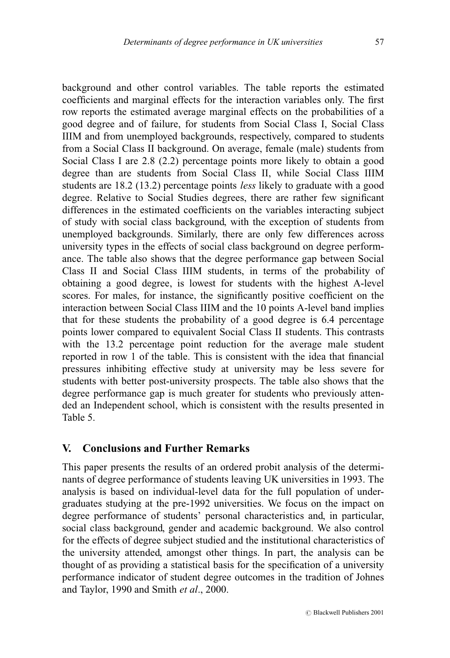background and other control variables. The table reports the estimated coefficients and marginal effects for the interaction variables only. The first row reports the estimated average marginal effects on the probabilities of a good degree and of failure, for students from Social Class I, Social Class IIIM and from unemployed backgrounds, respectively, compared to students from a Social Class II background. On average, female (male) students from Social Class I are 2.8 (2.2) percentage points more likely to obtain a good degree than are students from Social Class II, while Social Class IIIM students are 18.2 (13.2) percentage points less likely to graduate with a good degree. Relative to Social Studies degrees, there are rather few significant differences in the estimated coefficients on the variables interacting subject of study with social class background, with the exception of students from unemployed backgrounds. Similarly, there are only few differences across university types in the effects of social class background on degree performance. The table also shows that the degree performance gap between Social Class II and Social Class IIIM students, in terms of the probability of obtaining a good degree, is lowest for students with the highest A-level scores. For males, for instance, the significantly positive coefficient on the interaction between Social Class IIIM and the 10 points A-level band implies that for these students the probability of a good degree is 6.4 percentage points lower compared to equivalent Social Class II students. This contrasts with the 13.2 percentage point reduction for the average male student reported in row 1 of the table. This is consistent with the idea that financial pressures inhibiting effective study at university may be less severe for students with better post-university prospects. The table also shows that the degree performance gap is much greater for students who previously attended an Independent school, which is consistent with the results presented in Table 5.

# V. Conclusions and Further Remarks

This paper presents the results of an ordered probit analysis of the determinants of degree performance of students leaving UK universities in 1993. The analysis is based on individual-level data for the full population of undergraduates studying at the pre-1992 universities. We focus on the impact on degree performance of students' personal characteristics and, in particular, social class background, gender and academic background. We also control for the effects of degree subject studied and the institutional characteristics of the university attended, amongst other things. In part, the analysis can be thought of as providing a statistical basis for the specification of a university performance indicator of student degree outcomes in the tradition of Johnes and Taylor, 1990 and Smith et al., 2000.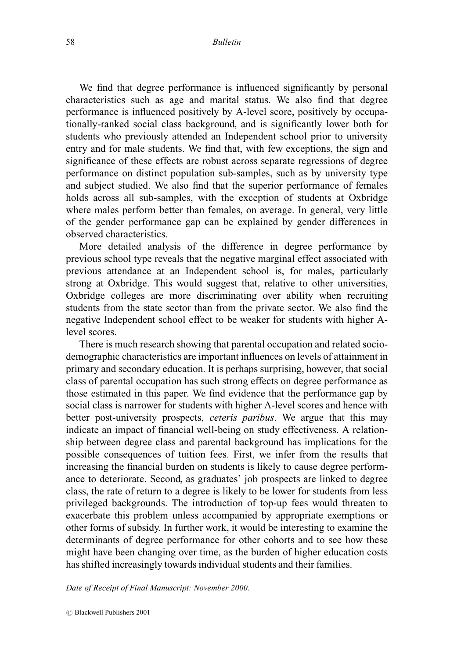We find that degree performance is influenced significantly by personal characteristics such as age and marital status. We also find that degree performance is influenced positively by A-level score, positively by occupationally-ranked social class background, and is significantly lower both for students who previously attended an Independent school prior to university entry and for male students. We find that, with few exceptions, the sign and significance of these effects are robust across separate regressions of degree performance on distinct population sub-samples, such as by university type and subject studied. We also find that the superior performance of females holds across all sub-samples, with the exception of students at Oxbridge where males perform better than females, on average. In general, very little of the gender performance gap can be explained by gender differences in observed characteristics.

More detailed analysis of the difference in degree performance by previous school type reveals that the negative marginal effect associated with previous attendance at an Independent school is, for males, particularly strong at Oxbridge. This would suggest that, relative to other universities, Oxbridge colleges are more discriminating over ability when recruiting students from the state sector than from the private sector. We also find the negative Independent school effect to be weaker for students with higher Alevel scores.

There is much research showing that parental occupation and related sociodemographic characteristics are important influences on levels of attainment in primary and secondary education. It is perhaps surprising, however, that social class of parental occupation has such strong effects on degree performance as those estimated in this paper. We find evidence that the performance gap by social class is narrower for students with higher A-level scores and hence with better post-university prospects, *ceteris paribus*. We argue that this may indicate an impact of financial well-being on study effectiveness. A relationship between degree class and parental background has implications for the possible consequences of tuition fees. First, we infer from the results that increasing the financial burden on students is likely to cause degree performance to deteriorate. Second, as graduates' job prospects are linked to degree class, the rate of return to a degree is likely to be lower for students from less privileged backgrounds. The introduction of top-up fees would threaten to exacerbate this problem unless accompanied by appropriate exemptions or other forms of subsidy. In further work, it would be interesting to examine the determinants of degree performance for other cohorts and to see how these might have been changing over time, as the burden of higher education costs has shifted increasingly towards individual students and their families.

Date of Receipt of Final Manuscript: November 2000.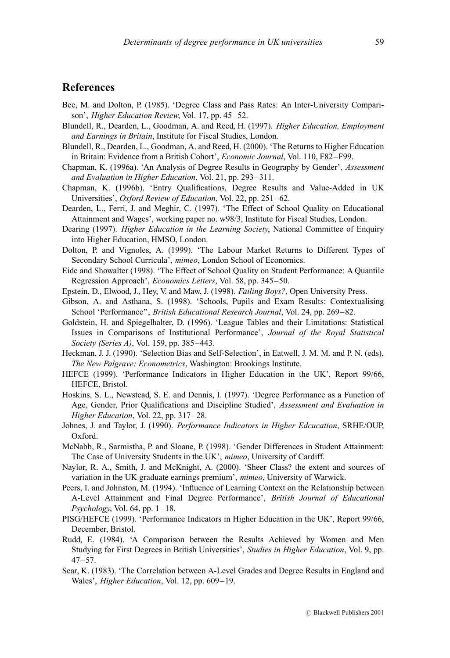# References

- Bee, M. and Dolton, P. (1985). `Degree Class and Pass Rates: An Inter-University Comparison', Higher Education Review, Vol. 17, pp. 45–52.
- Blundell, R., Dearden, L., Goodman, A. and Reed, H. (1997). Higher Education, Employment and Earnings in Britain, Institute for Fiscal Studies, London.
- Blundell, R., Dearden, L., Goodman, A. and Reed, H. (2000). `The Returns to Higher Education in Britain: Evidence from a British Cohort', *Economic Journal*, Vol. 110, F82–F99.
- Chapman, K. (1996a). `An Analysis of Degree Results in Geography by Gender', Assessment and Evaluation in Higher Education, Vol. 21, pp.  $293-311$ .
- Chapman, K. (1996b). 'Entry Qualifications, Degree Results and Value-Added in UK Universities', Oxford Review of Education, Vol. 22, pp. 251–62.
- Dearden, L., Ferri, J. and Meghir, C. (1997). `The Effect of School Quality on Educational Attainment and Wages', working paper no. w98/3, Institute for Fiscal Studies, London.
- Dearing (1997). Higher Education in the Learning Society, National Committee of Enquiry into Higher Education, HMSO, London.
- Dolton, P. and Vignoles, A. (1999). `The Labour Market Returns to Different Types of Secondary School Curricula', mimeo, London School of Economics.
- Eide and Showalter (1998). `The Effect of School Quality on Student Performance: A Quantile Regression Approach', Economics Letters, Vol. 58, pp. 345-50.
- Epstein, D., Elwood, J., Hey, V. and Maw, J. (1998). Failing Boys?, Open University Press.
- Gibson, A. and Asthana, S. (1998). `Schools, Pupils and Exam Results: Contextualising School 'Performance", British Educational Research Journal, Vol. 24, pp. 269-82.
- Goldstein, H. and Spiegelhalter, D. (1996). `League Tables and their Limitations: Statistical Issues in Comparisons of Institutional Performance', Journal of the Royal Statistical Society (Series A), Vol. 159, pp. 385 $-443$ .
- Heckman, J. J. (1990). 'Selection Bias and Self-Selection', in Eatwell, J. M. M. and P. N. (eds), The New Palgrave: Econometrics, Washington: Brookings Institute.
- HEFCE (1999). 'Performance Indicators in Higher Education in the UK', Report 99/66, HEFCE, Bristol.
- Hoskins, S. L., Newstead, S. E. and Dennis, I. (1997). `Degree Performance as a Function of Age, Gender, Prior Qualifications and Discipline Studied', Assessment and Evaluation in Higher Education, Vol. 22, pp.  $317-28$ .
- Johnes, J. and Taylor, J. (1990). Performance Indicators in Higher Edcucation, SRHE/OUP, Oxford.
- McNabb, R., Sarmistha, P. and Sloane, P. (1998). `Gender Differences in Student Attainment: The Case of University Students in the UK', mimeo, University of Cardiff.
- Naylor, R. A., Smith, J. and McKnight, A. (2000). `Sheer Class? the extent and sources of variation in the UK graduate earnings premium', mimeo, University of Warwick.
- Peers, I. and Johnston, M. (1994). 'Influence of Learning Context on the Relationship between A-Level Attainment and Final Degree Performance', British Journal of Educational  $Psychology$ , Vol. 64, pp.  $1-18$ .
- PISG/HEFCE (1999). `Performance Indicators in Higher Education in the UK', Report 99/66, December, Bristol.
- Rudd, E. (1984). `A Comparison between the Results Achieved by Women and Men Studying for First Degrees in British Universities', Studies in Higher Education, Vol. 9, pp.  $47 - 57.$
- Sear, K. (1983). `The Correlation between A-Level Grades and Degree Results in England and Wales', *Higher Education*, Vol. 12, pp. 609-19.